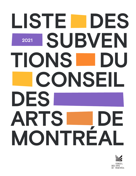# **2021 LISTE DES 2021 SUBVEN TIONS DU CONSEIL DES ARTS DE MONTRÉAL**

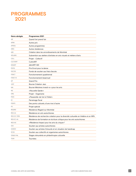## **PROGRAMMES 2021**

| Quand l'art prend l'air<br>Autres prix<br>Autres programmes<br>Autres résidences<br>Création dans les arrondissements de Montréal<br>Subvention aux ateliers d'artistes en arts visuels et métiers d'arts<br>Projet - Collectif<br>CultivART<br>démART-Mtl<br>Prix Envol pour la danse<br>Fonds de soutien aux frais d'accès<br>Fonctionnement quadriennal<br>Fonctionnement bisannuel<br><b>Grand Prix</b><br><b>Bourse Création Jazz</b><br>Bourse Mécènes investi-e-s pour les arts<br>« Nouvelle Garde »<br>Projet - Organisme<br>« Passerelle: de l'art à l'hôtel »<br>Parrainage fiscal<br>Des ponts culturels, d'une rive à l'autre<br>Projet spécial<br>Résidence Regard sur Montréal<br>Résidence en arts autochtones<br>Résidence de recherche-création pour la diversité culturelle en théâtre et en NPA<br>Résidence de formation en écriture critique pour les arts autochtones<br>« Résidence Impact pour les arts du cirque »"<br>Soutien aux artistes autochtones<br>Soutien aux artistes S/sourds et en situation de handicap<br>Soutien aux collectifs et organismes autochtones<br>Stages rémunérés en philanthropie culturelle<br>Tournées | Noms abrégés     | Programmes 2021 |
|----------------------------------------------------------------------------------------------------------------------------------------------------------------------------------------------------------------------------------------------------------------------------------------------------------------------------------------------------------------------------------------------------------------------------------------------------------------------------------------------------------------------------------------------------------------------------------------------------------------------------------------------------------------------------------------------------------------------------------------------------------------------------------------------------------------------------------------------------------------------------------------------------------------------------------------------------------------------------------------------------------------------------------------------------------------------------------------------------------------------------------------------------------------|------------------|-----------------|
|                                                                                                                                                                                                                                                                                                                                                                                                                                                                                                                                                                                                                                                                                                                                                                                                                                                                                                                                                                                                                                                                                                                                                                | AIR              |                 |
|                                                                                                                                                                                                                                                                                                                                                                                                                                                                                                                                                                                                                                                                                                                                                                                                                                                                                                                                                                                                                                                                                                                                                                | <b>APRIX</b>     |                 |
|                                                                                                                                                                                                                                                                                                                                                                                                                                                                                                                                                                                                                                                                                                                                                                                                                                                                                                                                                                                                                                                                                                                                                                | <b>APROG</b>     |                 |
|                                                                                                                                                                                                                                                                                                                                                                                                                                                                                                                                                                                                                                                                                                                                                                                                                                                                                                                                                                                                                                                                                                                                                                | <b>ARES</b>      |                 |
|                                                                                                                                                                                                                                                                                                                                                                                                                                                                                                                                                                                                                                                                                                                                                                                                                                                                                                                                                                                                                                                                                                                                                                | ARR              |                 |
|                                                                                                                                                                                                                                                                                                                                                                                                                                                                                                                                                                                                                                                                                                                                                                                                                                                                                                                                                                                                                                                                                                                                                                | <b>ATELIERS</b>  |                 |
|                                                                                                                                                                                                                                                                                                                                                                                                                                                                                                                                                                                                                                                                                                                                                                                                                                                                                                                                                                                                                                                                                                                                                                | COLL             |                 |
|                                                                                                                                                                                                                                                                                                                                                                                                                                                                                                                                                                                                                                                                                                                                                                                                                                                                                                                                                                                                                                                                                                                                                                | <b>CULTIVART</b> |                 |
|                                                                                                                                                                                                                                                                                                                                                                                                                                                                                                                                                                                                                                                                                                                                                                                                                                                                                                                                                                                                                                                                                                                                                                | <b>DEMART</b>    |                 |
|                                                                                                                                                                                                                                                                                                                                                                                                                                                                                                                                                                                                                                                                                                                                                                                                                                                                                                                                                                                                                                                                                                                                                                | <b>ENVOL</b>     |                 |
|                                                                                                                                                                                                                                                                                                                                                                                                                                                                                                                                                                                                                                                                                                                                                                                                                                                                                                                                                                                                                                                                                                                                                                | <b>FACCES</b>    |                 |
|                                                                                                                                                                                                                                                                                                                                                                                                                                                                                                                                                                                                                                                                                                                                                                                                                                                                                                                                                                                                                                                                                                                                                                | <b>FONCT</b>     |                 |
|                                                                                                                                                                                                                                                                                                                                                                                                                                                                                                                                                                                                                                                                                                                                                                                                                                                                                                                                                                                                                                                                                                                                                                | FONCT-B          |                 |
|                                                                                                                                                                                                                                                                                                                                                                                                                                                                                                                                                                                                                                                                                                                                                                                                                                                                                                                                                                                                                                                                                                                                                                | GP               |                 |
|                                                                                                                                                                                                                                                                                                                                                                                                                                                                                                                                                                                                                                                                                                                                                                                                                                                                                                                                                                                                                                                                                                                                                                | JAZZ             |                 |
|                                                                                                                                                                                                                                                                                                                                                                                                                                                                                                                                                                                                                                                                                                                                                                                                                                                                                                                                                                                                                                                                                                                                                                | MIA              |                 |
|                                                                                                                                                                                                                                                                                                                                                                                                                                                                                                                                                                                                                                                                                                                                                                                                                                                                                                                                                                                                                                                                                                                                                                | <b>NG</b>        |                 |
|                                                                                                                                                                                                                                                                                                                                                                                                                                                                                                                                                                                                                                                                                                                                                                                                                                                                                                                                                                                                                                                                                                                                                                | <b>ORG</b>       |                 |
|                                                                                                                                                                                                                                                                                                                                                                                                                                                                                                                                                                                                                                                                                                                                                                                                                                                                                                                                                                                                                                                                                                                                                                | <b>PASS</b>      |                 |
|                                                                                                                                                                                                                                                                                                                                                                                                                                                                                                                                                                                                                                                                                                                                                                                                                                                                                                                                                                                                                                                                                                                                                                | PF               |                 |
|                                                                                                                                                                                                                                                                                                                                                                                                                                                                                                                                                                                                                                                                                                                                                                                                                                                                                                                                                                                                                                                                                                                                                                | <b>PONTS</b>     |                 |
|                                                                                                                                                                                                                                                                                                                                                                                                                                                                                                                                                                                                                                                                                                                                                                                                                                                                                                                                                                                                                                                                                                                                                                | PS               |                 |
|                                                                                                                                                                                                                                                                                                                                                                                                                                                                                                                                                                                                                                                                                                                                                                                                                                                                                                                                                                                                                                                                                                                                                                | <b>REGARD</b>    |                 |
|                                                                                                                                                                                                                                                                                                                                                                                                                                                                                                                                                                                                                                                                                                                                                                                                                                                                                                                                                                                                                                                                                                                                                                | <b>RESI-AA</b>   |                 |
|                                                                                                                                                                                                                                                                                                                                                                                                                                                                                                                                                                                                                                                                                                                                                                                                                                                                                                                                                                                                                                                                                                                                                                | RESI-DC-TNPA     |                 |
|                                                                                                                                                                                                                                                                                                                                                                                                                                                                                                                                                                                                                                                                                                                                                                                                                                                                                                                                                                                                                                                                                                                                                                | RESI-EC-AA       |                 |
|                                                                                                                                                                                                                                                                                                                                                                                                                                                                                                                                                                                                                                                                                                                                                                                                                                                                                                                                                                                                                                                                                                                                                                | RESI-IAC         |                 |
|                                                                                                                                                                                                                                                                                                                                                                                                                                                                                                                                                                                                                                                                                                                                                                                                                                                                                                                                                                                                                                                                                                                                                                | <b>SAA</b>       |                 |
|                                                                                                                                                                                                                                                                                                                                                                                                                                                                                                                                                                                                                                                                                                                                                                                                                                                                                                                                                                                                                                                                                                                                                                | SASESH           |                 |
|                                                                                                                                                                                                                                                                                                                                                                                                                                                                                                                                                                                                                                                                                                                                                                                                                                                                                                                                                                                                                                                                                                                                                                | <b>SCOA</b>      |                 |
|                                                                                                                                                                                                                                                                                                                                                                                                                                                                                                                                                                                                                                                                                                                                                                                                                                                                                                                                                                                                                                                                                                                                                                | STAGE-PHIL       |                 |
|                                                                                                                                                                                                                                                                                                                                                                                                                                                                                                                                                                                                                                                                                                                                                                                                                                                                                                                                                                                                                                                                                                                                                                | <b>TOUR</b>      |                 |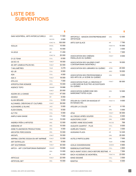## **LISTE DES SUBVENTIONS**

| (MAI) MONTRÉAL, ARTS INTERCULTURELS   | <b>ARES</b>   | 11 500  |
|---------------------------------------|---------------|---------|
|                                       | <b>FACCES</b> | 2 000   |
|                                       | FONCT-B       | 100 000 |
| 100LUX                                | <b>ENVOL</b>  | 10 000  |
|                                       | ORG           | 10 000  |
| 14 LIEUX                              | AIR           | 11 450  |
|                                       | FONCT-B       | 20 000  |
| 21-22 TEAM                            | COLL          | 6 000   |
| 24/30 I/S                             | <b>FONCT</b>  | 18 000  |
| 4D ART LEMIEUX/PILON INC.             | <b>FONCT</b>  | 32 000  |
| 7 MILLIMÉTRES                         | <b>TOUR</b>   | 3 279   |
| AD LIB                                | COLL          | 9 000   |
| ADA                                   | COLL          | 4 000   |
| ADA X                                 | <b>FONCT</b>  | 18 000  |
| AFILA.SI                              | <b>COLL</b>   | 7 000   |
| AFROPOLITAIN NOMADE                   | <b>ARES</b>   | 15 000  |
| AGENCE TOPO                           | <b>DEMART</b> | 18 666  |
|                                       | <b>FONCT</b>  | 20 000  |
| AGORA DE LA DANSE                     | <b>FONCT</b>  | 47 000  |
| AKAWUI                                | AIR           | 8050    |
| ALAIN BÉDARD                          | COLL          | 5 000   |
| ALCHIMIES, CREATIONS ET CULTURES      | <b>FONCT</b>  | 39 000  |
| ALEXANDRE LE BLANC                    | JAZZ          | 5 000   |
| ALIDA ESMAIL                          | COLL          | 9 000   |
| ALT PHI                               | <b>COLL</b>   | 5 000   |
| AMPLE MAN DANSE                       | ORG           | 7 000   |
|                                       | <b>TOUR</b>   | 15 000  |
| ANDREA PEÑA & ARTISTES                | ORG           | 12 000  |
| ANÉMONE 47                            | ORG           | 10 000  |
| ANNE PLAMONDON PRODUCTIONS            | <b>ORG</b>    | 4 000   |
| <b>ARCHITEK PERCUSSION</b>            | ORG           | 10 000  |
| <b>ARCMTL</b>                         | <b>FONCT</b>  | 16 000  |
| ARPRIM, CENTRE D'ESSAI EN ART IMPRIMÉ | <b>FONCT</b>  | 12 000  |
| <b>ART ENTR'ELLES</b>                 | ORG           | 6 000   |
| <b>ART SOUTERRAIN</b>                 | <b>FONCT</b>  | 30 000  |
| ARTCH - ART CONTEMPORAIN ÉMERGENT     | <b>DEMART</b> | 18 666  |
|                                       | ORG           | 13 000  |
|                                       | PF            | 10 000  |
| <b>ARTICULE</b>                       | <b>FONCT</b>  | 22 000  |
| <b>ARTIFICIEL.NET</b>                 | ORG           | 15 000  |

| ARTOPOLE - MAISON D'ENTREPRENEURIAT<br><b>ARTISTIQUE</b>                         | ORG           | 12 000 |
|----------------------------------------------------------------------------------|---------------|--------|
| <b>ARTS SUR GLACE</b>                                                            | AIR           | 7 760  |
|                                                                                  | FONCT-B       | 15 000 |
|                                                                                  | GP            | 3 000  |
|                                                                                  | PS            | 7 000  |
| ASSOCIATION DES CINÉMAS<br>PARALLÈLES DU QUÉBEC                                  | <b>FONCT</b>  | 8 000  |
| ASSOCIATION DES GALERIES D'ART<br>CONTEMPORAIN (MONTRÉAL)                        | ORG           | 18 000 |
| ASSOCIATION DES LIBRAIRES DU QUÉBEC                                              | <b>APRIX</b>  | 20 000 |
|                                                                                  | <b>ARES</b>   | 18 000 |
| ASSOCIATION DES PROFESSIONNELS<br>DES ARTS DE LA SCÈNE DU QUÉBEC                 | <b>ORG</b>    | 8 000  |
| ASSOCIATION POUR LA CRÉATION ET<br>LA RECHERCHE ÉLECTRO-ACOUSTIQUES<br>DU QUÉBEC | <b>FONCT</b>  | 80 000 |
| ASSOCIATION QUÉBÉCOISE DES<br>MARIONNETTISTES A.O.M.                             | <b>ORG</b>    | 12 000 |
|                                                                                  | PF            | 2 386  |
| ATELIER DU CONTE EN MUSIQUE ET<br>EN IMAGES INC.                                 | FONCT-B       | 9 000  |
| ATELIER LA COULÉE                                                                | AIR           | 8 150  |
|                                                                                  | ORG           | 5 000  |
| ATSA                                                                             | <b>FONCT</b>  | 30 000 |
| AU CRIQUE APRÉS SOUPER                                                           | COLL          | 6 000  |
| <b>AUDIOTOPIE COOP</b>                                                           | <b>ORG</b>    | 4 800  |
| <b>AUDREY-ANNE BOUCHARD</b>                                                      | <b>FACCES</b> | 768    |
| AUGUSTE QUARTET - PLUS                                                           | COLL          | 8 000  |
| AURÉLIEN TOMASI                                                                  | GP            | 3 000  |
| AUSGANG PLAZA                                                                    | AIR           | 14 325 |
|                                                                                  | ORG           | 20 000 |
| AUTELS PARTICULIERS                                                              | <b>ORG</b>    | 7 000  |
|                                                                                  | <b>TOUR</b>   | 5 592  |
| AZALIA SHAHIDIKAVIANI                                                            | SASESH        | 8 965  |
| BABINEAU/CHARTRAND                                                               | COLL          | 4 800  |
| <b>BACH AVANT DODO   BACH BEFORE BEDTIME AIR</b>                                 |               | 7064   |
| BACH-ACADÉMIE DE MONTRÉAL                                                        | FONCT-B       | 23 000 |
| <b>BAND DESSINÉ</b>                                                              | COLL          | 3 500  |
| BANITSA                                                                          | COLL          | 6 000  |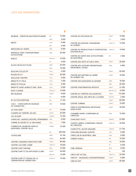| <b>BAOBAB - CRÉATION MULTIDISCIPLINAIRE</b>              | AIR          | 15 000  |
|----------------------------------------------------------|--------------|---------|
|                                                          | <b>ORG</b>   | 5 0 0 0 |
| BEATS                                                    | COLL         | 8000    |
|                                                          | MIA          | 4 000   |
| <b>BERCEURS DU TEMPS</b>                                 | ORG          | 8000    |
| BIENNALE D'ART CONTEMPORAIN<br>AUTOCHTONE                | ORG          | 25 000  |
| <b>BIGICO</b>                                            | FONCT-B      | 10 000  |
|                                                          | PS           | 5 000   |
| <b>BLACK ON BLACK FILMS</b>                              | <b>ARES</b>  | 20 000  |
|                                                          | ORG          | 10 000  |
| <b>BOUCAN COLLECTIF</b>                                  | COLL         | 4 0 0 0 |
| BOUGE DE LA                                              | <b>FONCT</b> | 30 000  |
| <b>BOULOUKI THEATRE</b>                                  | COLL         | 5 000   |
| <b>BRIGITTE ET FÉLIX</b>                                 | COLL         | 7 000   |
| <b>BRIGITTE POULIN</b>                                   | COLL         | 5 0 0 0 |
| BRIGITTE SAINT-AUBIN ET ERIC JEAN                        | COLL         | 5 000   |
| <b>BUZZ CUIVRES</b>                                      | FONCT-B      | 14 000  |
| <b>BW MUSIQUE</b>                                        | <b>FONCT</b> | 9 000   |
|                                                          | PS           | 6000    |
| BY US FOR EVERYONE                                       | AIR          | 11 333  |
| C.M.C. - CONCOURS DE MUSIQUE<br>DU CANADA INC.           | <b>ORG</b>   | 10 000  |
| ÇA S'EN VIENT                                            | AIR          | 15 000  |
| CAHIERS DE THÉÂTRE JEU INC.                              | <b>FONCT</b> | 22 000  |
| CAI GLOVER                                               | SASESH       | 14 404  |
| CAPAS INC. (AGENCE MICKAEL SPINNHIRNY)                   | ORG          | 6 000   |
| CARINE AU MICRO ET LE SIKA BAND                          | COLL         | 7 000   |
| CARREFOUR JEUNESSE-EMPLOI<br>MONTRÉAL CENTRE-VILLE       | <b>APROG</b> | 12 500  |
|                                                          | ΝG           | 255 000 |
| CASTELIERS                                               | ARES         | 10 100  |
|                                                          | <b>FONCT</b> | 30 000  |
| CENTRE CANADIEN D'ARCHITECTURE                           | <b>FONCT</b> | 90 000  |
| <b>CENTRE CULTUREL KABIR</b>                             | FONCT-B      | 18 000  |
| <b>CENTRE D'ART DAPHNE</b>                               | <b>ORG</b>   | 15 500  |
| CENTRE D'ART ET DE DIFFUSION CLARK                       | <b>FONCT</b> | 30 000  |
|                                                          | RESI-AA      | 12 000  |
| CENTRE D'ART ET D'ESSAI DE LA<br>CINÉMATHÈQUE QUÉBÉCOISE | FONCT-B      | 15 000  |

| <b>CENTRE DE DIFFUSION 3D</b>                               | <b>FONCT</b>  | 15 000  |
|-------------------------------------------------------------|---------------|---------|
|                                                             | PS            | 3 000   |
| CENTRE DE MUSIQUE CANADIENNE<br>AU OUÉBEC                   | FONCT-B       | 12 000  |
| CENTRE DE PRODUCTION ET D'EXPOSITION<br><b>EASTERN BLOC</b> | FONCT-B       | 15 000  |
| CENTRE DE SANTÉ DES AUTOCHTONES<br>DE MONTRÉAL              | GP            | 3 000   |
| CENTRE DES ARTS ACTUELS SKOL                                | <b>FONCT</b>  | 20 000  |
| CENTRE DES AUTEURS DRAMATIQUES<br>(MONTRÉAL) (CEAD)         | <b>ARES</b>   | 8800    |
|                                                             | <b>FONCT</b>  | 60 000  |
| CENTRE DES MÉTIERS DU VERRE<br>DU QUÉBEC INC.               | <b>FONCT</b>  | 16 000  |
| CENTRE DES MUSICIENS DU MONDE                               | <b>ARES</b>   | 18 000  |
|                                                             | <b>ORG</b>    | 25 000  |
| <b>CENTRE D'INFORMATION ARTEXTE</b>                         | <b>FONCT</b>  | 31 000  |
|                                                             | RESI-EC-AA    | 10 000  |
| CENTRE DU THÉÂTRE D'AUJOURD'HUI                             | <b>FONCT</b>  | 112 000 |
| CENTRE SEGAL DES ARTS DE LA SCÈNE                           | <b>FACCES</b> | 2 000   |
|                                                             | <b>FONCT</b>  | 65 000  |
| <b>CENTRE TURBINE</b>                                       | <b>FONCT</b>  | 15 000  |
| <b>CERCLE D'EXPRESSION ARTISTIQUE</b><br>NYATA NYATA        | <b>FONCT</b>  | 30 000  |
| CHAMBRE NOIRE, COMPAGNIE DE<br>CRÉATION                     | <b>ORG</b>    | 10 000  |
| CHAN RAVY PUTH                                              | SASESH        | 23 900  |
| CHANTS LIBRES, COMPAGNIE LYRIQUE<br>DE CRÉATION             | FONCT-B       | 20 000  |
| CHARLOTTE JACOB-MAGUIRE                                     | SASESH        | 21 750  |
| CHÉLANIE BEAUDIN-QUINTIN                                    | COLL          | 8 000   |
| CINÉCLUB DE MONTRÉAL 1992                                   | ORG           | 8 0 0 0 |
| CINÉMA PUBLIC                                               | AIR           | 15 000  |
|                                                             | ORG           | 18 000  |
|                                                             | PF            | 6 438   |
| CINÉ-VERDUN                                                 | ORG           | 9 000   |
|                                                             | PF            | 100     |
| <b>CIRCA ART ACTUEL</b>                                     | FONCT-B       | 24 000  |
| <b>CIRCUIT - MUSIQUES CONTEMPORAINES</b>                    | <b>FONCT</b>  | 8 0 0 0 |
| CIRCUIT-EST                                                 | <b>FONCT</b>  | 60 000  |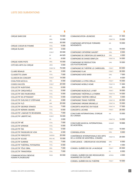| <b>CIRQUE BARCODE</b>                                    | AIR          | 15 000  |
|----------------------------------------------------------|--------------|---------|
|                                                          | ORG          | 12 000  |
|                                                          | PASS         | 30 000  |
| CIRQUE COEUR DE POMME                                    | COLL         | 5 0 0 0 |
| <b>CIRQUE ÉLOIZE</b>                                     | <b>ARES</b>  | 3 000   |
|                                                          | <b>FONCT</b> | 35 000  |
|                                                          | PF           | 44 925  |
|                                                          | PS           | 8 000   |
| <b>CIRQUE HORS PISTE</b>                                 | ORG          | 15 000  |
| CITÉ DES ARTS DU CIRQUE                                  | ARES         | 3 000   |
|                                                          | FONCT-B      | 74 000  |
| CLAIRE RENAUD                                            | MIA          | 3 000   |
| CLAUDETTE LEMAY                                          | COLL         | 7 000   |
| CLAVECIN EN CONCERT                                      | <b>FONCT</b> | 14 000  |
| COALITION M.É.D.I.A.                                     | <b>ORG</b>   | 4 000   |
| CODES D'ACCÉS                                            | <b>FONCT</b> | 20 000  |
| COLLECTIF AUDITIONS                                      | COLL         | 6 000   |
| COLLECTIF CIRQU'AVÉLO                                    | COLL         | 5 0 0 0 |
| COLLECTIF DES FAUBOURGS                                  | COLL         | 5 000   |
| COLLECTIF EN ATTENDANT                                   | COLL         | 5 000   |
| COLLECTIF EVELYNE ET STÉPHANE                            | AIR          | 4 680   |
| COLLECTIF FLÒ                                            | ARR          | 25 000  |
| COLLECTIF GEORGE STAMOS                                  | COLL         | 7 000   |
| <b>COLLECTIF KERWIN-SIMARD</b>                           | COLL         | 6 000   |
| COLLECTIF L'AMOUR TE REVIENDRA                           | COLL         | 7 000   |
| COLLECTIF LIBERTÉ INC.                                   | <b>FONCT</b> | 16 000  |
|                                                          | PS           | 3 000   |
| <b>COLLECTIF MÉ</b>                                      | COLL         | 7 000   |
| <b>COLLECTIF MYRIADE</b>                                 | COLL         | 5 000   |
| COLLECTIF ÖM                                             | COLL         | 5 500   |
| COLLECTIF PASSEURS DE VOIX                               | COLL         | 4 000   |
| <b>COLLECTIF PERCEPTO</b>                                | SASESH       | 20 000  |
| <b>COLLECTIF SCUSE</b>                                   | RESI-IAC     | 15 000  |
| <b>COLLECTIF SUNRISE</b>                                 | COLL         | 7 000   |
| COLLECTIF THÉÂTRAL POTOMITAN                             | COLL         | 6 000   |
| COLLECTIF TÖLE OBNL                                      | ORG          | 7 000   |
| COLLECTIF TRANSTAÏGA                                     | COLL         | 7 000   |
| <b>COMMUNICATION CRÉATIVE</b><br><b>HUMAN PLAYGROUND</b> | PASS         | 30 000  |

| COMMUNICATION-JEUNESSE                                                 | <b>ARES</b>   | 31 500  |
|------------------------------------------------------------------------|---------------|---------|
|                                                                        | FONCT-B       | 15 000  |
| COMPAGNIE ARTISTIQUE FORWARD<br><b>MOVEMENTS</b>                       | AIR           | 15 000  |
|                                                                        | <b>ORG</b>    | 10 000  |
| COMPAGNIE CATHERINE GAUDET                                             | <b>ORG</b>    | 8 000   |
| COMPAGNIE DE CRÉATION LES MARCELS                                      | <b>ORG</b>    | 4 000   |
| COMPAGNIE DE DANSE EBNFLOH                                             | FONCT-B       | 14 000  |
| <b>COMPAGNIE DE PRODUCTION</b><br><b>LES FOUTOUKOURS</b>               | <b>ORG</b>    | 10 000  |
| COMPAGNIE DE THÉÂTRE LE CARROUSEL                                      | <b>FONCT</b>  | 63 000  |
| <b>COMPAGNIE FLAK</b>                                                  | <b>FONCT</b>  | 30 000  |
| <b>COMPAGNIE KATIE WARD</b>                                            | <b>ORG</b>    | 7 000   |
|                                                                        | PF            | 6 020   |
| COMPAGNIE LA OTRA ORILLA                                               | <b>FONCT</b>  | 15 000  |
| COMPAGNIE MOBILE HOME                                                  | FONCT-B       | 11 000  |
|                                                                        | <b>TOUR</b>   | 855     |
| <b>COMPAGNIE MUSICALE LA NEF</b>                                       | <b>FONCT</b>  | 18 000  |
| COMPAGNIE THÉÂTRALE LA FABRIK                                          | FONCT-B       | 14 000  |
| COMPAGNIE THÉÂTRE CRÉOLE                                               | ORG           | 5 000   |
| COMPAGNIE TRANS-THÉÂTRE                                                | FONCT-B       | 22 000  |
| <b>COMPAGNIE VIRGINIE BRUNELLE</b>                                     | FONCT-B       | 15 000  |
| CONCERTS AHUNTSIC EN FUGUE                                             | FONCT-B       | 17 000  |
| <b>CONCERTS LACHINE</b>                                                | <b>FONCT</b>  | 20 000  |
| CONCOURS INTERNATIONAL D'ORGUE<br>DU CANADA                            | AIR           | 15 000  |
|                                                                        | FONCT-B       | 14 000  |
| CONCOURS MUSICAL INTERNATIONAL<br>DE MONTRÉAL                          | <b>DEMART</b> | 18 666  |
|                                                                        | <b>FONCT</b>  | 15 000  |
| <b>CONFABULATION</b>                                                   | ORG           | 9 000   |
| CONFÉRENCE INTERNATIONALE DES ARTS<br>DE LA SCÈNE DE MONTRÉAL (CINARS) | FONCT-B       | 20 000  |
| CONFLUENCE - CRÉATEUR DE VOCATIONS                                     | ORG           | 6 000   |
|                                                                        | PF            | 4 3 5 0 |
| CONSEIL QUÉBÉCOIS DE LA MUSIQUE                                        | <b>FONCT</b>  | 45 500  |
|                                                                        | PS            | 6 000   |
| CONSEIL QUÉBÉCOIS DES RESSOURCES<br>HUMAINES EN CULTURE                | <b>APROG</b>  | 4 000   |
| CONSEIL QUÉBÉCOIS DU THÉÂTRE                                           | <b>FONCT</b>  | 10 000  |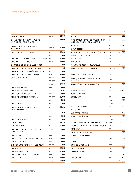| CONSTANTINOPLE                                            | <b>FONCT</b>   | 24 000 |
|-----------------------------------------------------------|----------------|--------|
| CONVENTION INTERNATIONALE DE<br>LA CULTURE URBAINE (CICU) | <b>ORG</b>     | 14 000 |
| CONVERSATIONS PHILANTHROPIQUES<br><b>EN CULTURE</b>       | APROG          | 13 000 |
| COOP VIDÉO DE MONTRÉAL                                    | <b>FONCT</b>   | 10 000 |
|                                                           | <b>RESI-AA</b> | 20 000 |
| COOPÉRATIVE DE SOLIDARITÉ TÊNK CANADA ORG                 |                | 18 000 |
| <b>COOPÉRATIVE LA BRIQUE</b>                              | <b>DEMART</b>  | 18 666 |
| CORPORATION DU CINÉMA BEAUBIEN                            | PF             | 8 030  |
| CORPORATION DU CINÉMA DU PARC                             | PF             | 150    |
| CORPORATION LUCIE GRÉGOIRE DANSE                          | <b>FONCT</b>   | 20 000 |
| CORPORATION WAPIKONI MOBILE                               | <b>FONCT</b>   | 25 000 |
| <b>CORPUSCULE DANSE</b>                                   | <b>FACCES</b>  | 2 000  |
|                                                           | FONCT-B        | 20 000 |
|                                                           | SASESH         | 17 000 |
| COTNOIR-LANGLOIS                                          | COLL           | 4 000  |
| COTNOIR-LANGLOIS TRIO                                     | AIR            | 4 105  |
| CRÉATION DANS LA CHAMBRE                                  | ORG            | 8 000  |
| CRÉATIONS ESTELLE CLARETON                                | FONCT-B        | 15 000 |
|                                                           | PS             | 4 000  |
| CRÉATIONS ETC                                             | <b>ORG</b>     | 6 000  |
| CRÉATIONS INTERDISCIPLINAIRES<br>NOUS TOMBONS TOUS        | AIR            | 14 000 |
|                                                           | <b>FACCES</b>  | 250    |
|                                                           | ORG            | 9 000  |
| CRÉATIONS UNUKNU                                          | <b>ORG</b>     | 7 000  |
| CTRL+ALT+DEL                                              | AIR            | 11 510 |
| <b>DANA EDMONDS</b>                                       | SASESH         | 20 000 |
| DANCE COLLECTION DANSE TORONTO<br>HALL OF FAME            | <b>APRIX</b>   | 5 000  |
| DANI TARDIF                                               | COLL           | 5 000  |
| DANIEL LÉVEILLÉ NOUVELLE DANSE INC.                       | <b>FONCT</b>   | 31 000 |
| DANSE À LA CARTE                                          | ORG            | 6 000  |
| DANSE CARPE DIEM/EMMANUEL JOUTHE                          | <b>FONCT</b>   | 20 000 |
| DANSE DANSE                                               | <b>FONCT</b>   | 50 000 |
| DANSE IMÉDIA O.S.B.L.                                     | FONCT-B        | 12 000 |
| DANSE TRIP THE LIGHT FANTASTIC                            | COLL           | 5 000  |
| DANSE-CITÉ                                                | DEMART         | 18 666 |
|                                                           | <b>FONCT</b>   | 37 000 |

| <b>DAPHNE</b>                                                          | <b>CULTIVART</b> | 15 000  |
|------------------------------------------------------------------------|------------------|---------|
| DARE-DARE, CENTRE DE DIFFUSION D'ART<br>MULTIDISCIPLINAIRE DE MONTRÉAL | <b>ORG</b>       | 9 000   |
| <b>DAVID FISET</b>                                                     | AIR              | 6 460   |
| <b>DAYNA CIELEN</b>                                                    | SAA              | 15 000  |
| DAZIBAO IMAGES, EXPOSITIONS, ÉDITIONS                                  | <b>FONCT</b>     | 22 000  |
| DES MOTS D'LA DYNAMITE                                                 | <b>FONCT</b>     | 18 000  |
| DESTINS CROISÉS                                                        | FONCT-B          | 12 000  |
| <b>DIAGONALE</b>                                                       | <b>FONCT</b>     | 15 000  |
| DIAGRAMME GESTION CULTURELLE                                           | <b>FONCT</b>     | 30 000  |
| DIFFUSION CULTURELLE FIKA(S)                                           | FONCT-B          | 10 000  |
|                                                                        | PF               | 1 370   |
| DIFFUSION LE VRAI MONDE?                                               | <b>ORG</b>       | 7 000   |
| DIFFUSIONS GAIES ET LESBIENNES<br>DU QUÉBEC                            | <b>ORG</b>       | 9 000   |
| DIVERSITÉ ARTISTIOUE MONTRÉAL                                          | FONCT-B          | 48 000  |
|                                                                        | PS               | 10 000  |
| <b>DOMINIC BESNER</b>                                                  | AIR              | 6 285   |
| <b>DOUBLE FANTASY</b>                                                  | <b>COLL</b>      | 5 000   |
| DRÖLDADON                                                              | GP               | 10 000  |
|                                                                        | ORG              | 4 000   |
|                                                                        | <b>PONTS</b>     | 15 000  |
| <b>DUO CONTRACELLO</b>                                                 | AIR              | 2476    |
| <b>DUO CORDELIA</b>                                                    | <b>COLL</b>      | 5 000   |
| <b>DUO FORTIN-POIRIER</b>                                              | AIR              | 5498    |
| DYNAMO THÉÂTRE INC.                                                    | <b>FONCT</b>     | 42 000  |
|                                                                        | <b>PONTS</b>     | 15 000  |
| ÉCOLE NATIONALE DE THÉÂTRE DU CANADA                                   | <b>APROG</b>     | 50 000  |
| ÉCOMUSÉE DE LA MAISON DU FIER MONDE                                    | <b>FONCT</b>     | 19 000  |
| ÉCOSCÉNO                                                               | GP               | 10 000  |
| ÉDITIONS GAZ MOUTARDE                                                  | <b>FONCT</b>     | 7 500   |
| <b>ELHAM MANOUCHEHRI</b>                                               | COLL             | 11 000  |
|                                                                        | <b>TOUR</b>      | 2 634   |
| ELSIANE                                                                | COLL             | 11 000  |
| ELYSE DE LAFONTAINE                                                    | <b>PONTS</b>     | 15 000  |
| <b>EMILIO WAWATIE</b>                                                  | SAA              | 12 000  |
| <b>EMPIRE PANIQUE</b>                                                  | ORG              | 8 0 0 0 |
|                                                                        | PF               | 8595    |
| EN PISTE INC.                                                          | ARES             | 1 500   |
|                                                                        | <b>FONCT</b>     | 32 500  |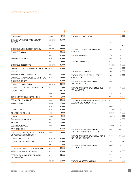| <b>ENDLESS LOVE</b>                                            | COLL         | 3750   |
|----------------------------------------------------------------|--------------|--------|
| <b>ENGLISH LANGUAGE ARTS NETWORK -</b><br>QUEBEC               | FONCT-B      | 12 500 |
|                                                                | GP           | 3 000  |
| ENSEMBLE À PERCUSSION SIXTRUM                                  | <b>FONCT</b> | 17 000 |
| <b>ENSEMBLE ARION</b>                                          | <b>FONCT</b> | 50 000 |
|                                                                | ORG          | 10 000 |
| <b>ENSEMBLE CAPRICE</b>                                        | <b>FONCT</b> | 27 000 |
|                                                                | GP           | 3 000  |
| <b>ENSEMBLE COLLECTIF9</b>                                     | FONCT-B      | 15 000 |
| ENSEMBLE CONTEMPORAIN DE MONTRÉAL<br>(ECM+)                    | <b>FONCT</b> | 42 000 |
| <b>ENSEMBLE INFUSION BAROQUE</b>                               | ORG          | 3500   |
| ENSEMBLE LES BORÉADES DE MONTRÉAL                              | <b>FONCT</b> | 23 000 |
| <b>ENSEMBLE OBIORA</b>                                         | AIR          | 15 000 |
| ENSEMBLE PARAMIRABO                                            | FONCT-B      | 10 000 |
| ENSEMBLE VOCAL ARTS - QUEBEC INC.                              | AIR          | 9840   |
| ERIKA ET JIMMY                                                 | AIR          | 12 330 |
|                                                                | COLL         | 4 000  |
| ESPACE CULTUREL CENTRE-NORD                                    | ORG          | 5 000  |
| ESPACE DE LA DIVERSITÉ                                         | <b>ORG</b>   | 10 000 |
| ESPACE GO INC.                                                 | <b>APRIX</b> | 25 000 |
|                                                                | <b>FONCT</b> | 95 000 |
| <b>ESPACE LIBRE</b>                                            | <b>FONCT</b> | 60 000 |
| ET MARIANNE ET SIMON                                           | ORG          | 4 000  |
| <b>EURUS</b>                                                   | COLL         | 5 000  |
| ÉVÉNEMENT HOODSTOCK                                            | GP           | 3 000  |
| <b>EXLIBRIS</b>                                                | PF           | 5 000  |
| EZDANSE/EZDANZA                                                | ORG          | 5 000  |
| <b>FANY RODRIGUE</b>                                           | AIR          | 12 355 |
| FEMMES DU CINÉMA. DE LA TÉLÉVISION<br>ET DES MÉDIAS NUMÉRIQUES | <b>ORG</b>   | 4 000  |
| FESTIVAL ACCÈS ASIE                                            | FONCT-B      | 25 000 |
| FESTIVAL BD DE MONTRÉAL                                        | FONCT-B      | 20 000 |
|                                                                | PF           | 300    |
| FESTIVAL DE CONTES IL ÉTAIT UNE FOIS                           | FONCT-B      | 15 000 |
| FESTIVAL DE FILMS CINEMANIA                                    | FONCT-B      | 15 000 |
| FESTIVAL DE MUSIQUE DE CHAMBRE<br>DE MONTRÉAL                  | AIR          | 14 650 |
|                                                                | <b>FONCT</b> | 33 000 |

| FESTIVAL DES ARTS DE RUELLE                                        | AIR              | 15 000  |
|--------------------------------------------------------------------|------------------|---------|
|                                                                    | GP               | 3 000   |
|                                                                    | ORG              | 15 000  |
|                                                                    | PF               | 790     |
| FESTIVAL DU NOUVEAU CINÉMA DE<br>MONTRÉAL                          | <b>FONCT</b>     | 30 000  |
| FESTIVAL FANTASIA                                                  | <b>DEMART</b>    | 18 666  |
|                                                                    | FONCT-B          | 24 000  |
| <b>FESTIVAL FILMINISTES</b>                                        | AIR              | 15 000  |
|                                                                    | <b>FACCES</b>    | 2000    |
|                                                                    | <b>ORG</b>       | 18 000  |
| <b>FESTIVAL HAITI EN FOLIE</b>                                     | <b>ORG</b>       | 20 000  |
| FESTIVAL INTERCULTUREL DU CONTE<br>DE MONTRÉAL                     | <b>FONCT</b>     | 13 000  |
| FESTIVAL INTERNATIONAL DE LA<br>LITTÉRATURE (FIL)                  | <b>FONCT</b>     | 27 000  |
| FESTIVAL INTERNATIONAL DE MUSIQUE<br>POP MONTREAL                  | GP               | 3 000   |
|                                                                    | <b>ORG</b>       | 20 000  |
|                                                                    | PF               | 8 300   |
| FESTIVAL INTERNATIONAL DE PROJECTION<br>ILLUSIONNISTE DE MONTRÉAL  | AIR              | 15 000  |
|                                                                    | <b>APROG</b>     | 21 000  |
|                                                                    | <b>CULTIVART</b> | 15 000  |
|                                                                    | <b>DEMART</b>    | 18 666  |
|                                                                    | FONCT-B          | 15 000  |
|                                                                    | GP               | 3 000   |
|                                                                    | PS               | 8 0 0 0 |
|                                                                    | RESI-AA          | 20 000  |
| FESTIVAL INTERNATIONAL DE THÉÂTRE<br>JEUNE PUBLIC DU QUÉBEC (1992) | <b>FONCT</b>     | 60 000  |
| FESTIVAL INTERNATIONAL DU FILM POUR<br>ENFANTS DE MONTRÉAL         | <b>FONCT</b>     | 25 000  |
|                                                                    | <b>TOUR</b>      | 250     |
| FESTIVAL INTERNATIONAL DU FILM<br>SUR L'ART (FIFA)                 | <b>APROG</b>     | 4 0 0 0 |
|                                                                    | DEMART           | 18 666  |
|                                                                    | GP               | 3 000   |
|                                                                    | ORG              | 40 000  |
| FESTIVAL MONTRÉAL MUNDIAL                                          | ORG              | 7 0 0 0 |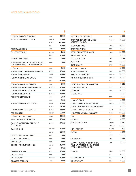| FESTIVAL PLEIN(S) ÉCRAN(S)                                                | <b>ORG</b>    | 10 000  |
|---------------------------------------------------------------------------|---------------|---------|
| FESTIVAL TRANSAMÉRIQUES                                                   | <b>APROG</b>  | 20 000  |
|                                                                           | <b>FONCT</b>  | 180 000 |
|                                                                           | PS            | 10 000  |
| <b>FESTIVAL UNISSON</b>                                                   | <b>ORG</b>    | 7 000   |
| FIERTÉ LITTÉRAIRE                                                         | <b>FACCES</b> | 1 500   |
|                                                                           | <b>ORG</b>    | 10 000  |
| FILM NOIR AU CANAL                                                        | ORG           | 5 000   |
| FLAVIA GARCIA ET JOSÉ MARIA GIANELLI<br>(TRIO ARGENTINO ET FLAVIA GARCIA) | COLL          | 8 000   |
| <b>FLÜTE ALORS!</b>                                                       | <b>ORG</b>    | 3500    |
| FONDATION DE DANSE MARGIE GILLIS                                          | <b>FONCT</b>  | 15 000  |
| FONDATION DYNASTIE                                                        | <b>APRIX</b>  | 16 000  |
| <b>FONDATION FABIENNE COLAS</b>                                           | <b>ORG</b>    | 5 000   |
|                                                                           | PF            | 210 000 |
| FONDATION GUIDO MOLINARI                                                  | <b>ORG</b>    | 3 000   |
| FONDATION JEAN-PIERRE PERREAULT                                           | FONCT-B       | 16 000  |
| FONDATION JEUNESSE NOIRE                                                  | GP            | 10 000  |
| <b>FONDATION LATINARTE</b>                                                | FONCT-B       | 12 000  |
| FONDATION MASSIMADI                                                       | AIR           | 5050    |
|                                                                           | <b>ORG</b>    | 8 000   |
| FONDATION METROPOLIS BLEU                                                 | <b>APRIX</b>  | 10 000  |
|                                                                           | <b>FONCT</b>  | 31 500  |
| FONDATION QUÉBEC CINÉMA                                                   | <b>FONCT</b>  | 45 000  |
| <b>FOU GLORIEUX</b>                                                       | <b>FONCT</b>  | 20 000  |
| FRÉDÉRIQUE PAX DUMAS                                                      | COLL          | 10 000  |
| FREDY V & THE FOUNDATION                                                  | COLL          | 10 000  |
| GALERIE & ATELIER LA CENTRALE<br><b>ELECTRIQUE</b>                        | <b>FONCT</b>  | 27 000  |
| GALERIE B-312                                                             | <b>DEMART</b> | 18 666  |
|                                                                           | <b>FONCT</b>  | 25 000  |
| GALERIE GALERIE EN LIGNE                                                  | ORG           | 8 000   |
| <b>GANESH BARON ALOIR</b>                                                 | COLL          | 8 000   |
| <b>GENIUS LOCI</b>                                                        | COLL          | 7 000   |
| <b>GEORDIE PRODUCTIONS INC.</b>                                           | <b>FONCT</b>  | 46 000  |
|                                                                           | PS            | 3750    |
| <b>GEORGE STAMOS</b>                                                      | AIR           | 15 000  |
| GRADO CERO                                                                | COLL          | 7 000   |
| <b>GRAND PONEY</b>                                                        | FONCT-B       | 10 000  |
| <b>GRANDES OREILLES</b>                                                   | ORG           | 7 0 0 0 |

| <b>GREENHOUSE ENSEMBLE</b>                                                              | JAZZ          | 5 000   |
|-----------------------------------------------------------------------------------------|---------------|---------|
| <b>GROUPE INTERVENTION VIDÉO</b><br>DE MONTRÉAL INC.                                    | FONCT-B       | 18 000  |
| <b>GROUPE LE VIVIER</b>                                                                 | <b>FONCT</b>  | 30 000  |
| <b>GROUPE QWARTZ</b>                                                                    | <b>ORG</b>    | 5 000   |
| <b>GROUPE RUBBERBANDANCE</b>                                                            | <b>FONCT</b>  | 35 000  |
| <b>GROWLERS CHOIR</b>                                                                   | <b>COLL</b>   | 5 000   |
| <b>GUILLAUME DOIN</b>                                                                   | <b>TOUR</b>   | 1619    |
| HODA ADRA                                                                               | <b>ARES</b>   | 13 000  |
| <b>HORS CHAMP</b>                                                                       | <b>ORG</b>    | 10 000  |
| HUU BAC QUINTET                                                                         | AIR           | 12 552  |
| IMAGO THEATRE, INC.                                                                     | <b>FONCT</b>  | 30 000  |
| INFRAROUGE THÉÂTRE                                                                      | FONCT-B       | 19 000  |
| INNOVATIONS EN CONCERT                                                                  | FONCT-B       | 19 000  |
|                                                                                         | PS            | 4 000   |
| INSTITUT CHORAL DE MONTRÉAL                                                             | AIR           | 9 3 1 5 |
| <b>JACKSON ET BABIN</b>                                                                 | COLL          | 8 000   |
| JAMAIS LU                                                                               | <b>FONCT</b>  | 20 000  |
| JE SUIS JULIO                                                                           | GP            | 3 000   |
|                                                                                         | <b>ORG</b>    | 7 000   |
| JEAN COUTEAU                                                                            | COLL          | 5 000   |
| JENNIFER PARENTEAU-MANNING                                                              | SASESH        | 21 050  |
| JENNY CARTWRIGHT & DAVID CHERNIAK                                                       | COLL          | 8 000   |
| JESSICA VALOISE-ALUNAYA                                                                 | <b>REGARD</b> | 15 000  |
| JEUNESSES MUSICALES CANADA                                                              | <b>FONCT</b>  | 35 000  |
| JIVA                                                                                    | AIR           | 2 3 4 6 |
| <b>JJANICE+</b>                                                                         | AIR           | 4975    |
| JOE JACK ET JOHN                                                                        | <b>FACCES</b> | 1820    |
|                                                                                         | FONCT-B       | 22 000  |
| <b>JORIE FORTIER</b>                                                                    | <b>FACCES</b> | 450     |
| <b>KAOSO</b>                                                                            | AIR           | 4 4 0 0 |
|                                                                                         | COLL          | 11 000  |
| KARIM DABO                                                                              | <b>TOUR</b>   | 7 742   |
| KEPKAA (COMITÉ INTERNATIONAL<br>POUR LA PROMOTION DU CRÉOLE<br>ET DE L'ALPHABETISATION) | ORG           | 5 000   |
| KINO'OO                                                                                 | <b>FONCT</b>  | 19 000  |

| KINO'OO       | EONCT | טטט צו |
|---------------|-------|--------|
|               | PS    | 4 000  |
| KLEYN KABARET | AIR   | 4 509  |
| KOHLENSTOFF   | COLL. | 8 000  |
|               |       |        |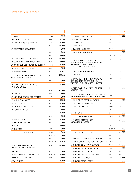| KUTSI MERKI                                            | COLL         | 7 000   |
|--------------------------------------------------------|--------------|---------|
| L'ÉCLIPSE COLLECTIF                                    | COLL         | 10 500  |
| LA CINÉMATHÈQUE QUÉBÉCOISE                             | <b>APROG</b> | 20 000  |
|                                                        | <b>FONCT</b> | 110 000 |
| LA COMPAGNIE DES AUTRES                                | AIR          | 3600    |
|                                                        | GP           | 3 000   |
|                                                        | <b>ORG</b>   | 11 000  |
| LA COMPAGNIE JEAN DUCEPPE                              | <b>FONCT</b> | 110 000 |
| LA COMPAGNIE MARIE CHOUINARD                           | <b>FONCT</b> | 75 000  |
| LA DANSE SUR LES ROUTES DU QUÉBEC                      | FONCT-B      | 12 000  |
| LA DISTRIBUTRICE DE FILMS                              | ORG          | 7 000   |
| LA FANFARE JARRY                                       | <b>AIR</b>   | 12 327  |
| LA FONDATION CENTAUR POUR LES<br>ARTS D'INTERPRETATION | <b>FONCT</b> | 122 000 |
|                                                        | PS           | 5 000   |
| LA FONDATION DU THÉÂTRE DU<br><b>NOUVEAU MONDE</b>     | <b>APROG</b> | 20 000  |
|                                                        | <b>FONCT</b> | 150 000 |
| <b>LA FRATRIE</b>                                      | ORG          | 4 0 0 0 |
| LA LSQ SOUS TOUTES SES FORMES                          | COLL         | 5 300   |
| LA MARCHE DU CRABE                                     | FONCT-B      | 10 000  |
| LA MESSE BASSE                                         | FONCT-B      | 10 000  |
| LA PIETÀ AVEC ANGÈLE DUBEAU                            | <b>ORG</b>   | 25 000  |
| LA POÉSIE PARTOUT                                      | AIR          | 7 500   |
|                                                        | ORG          | 10 000  |
|                                                        | RESI-AA      | 8 000   |
| LA REVUE MOEBIUS                                       | <b>ORG</b>   | 13 000  |
| LA REVUE SÉQUENCES                                     | <b>ORG</b>   | 7 000   |
| LA RUCHE                                               | <b>APROG</b> | 14 000  |
| LA R'VOYURE                                            | ORG          | 5 000   |
| <b>LA SERRE - ARTS VIVANTS</b>                         | <b>ARES</b>  | 7 000   |
|                                                        | FONCT-B      | 35 000  |
|                                                        | GP           | 3 000   |
|                                                        | STAGE-PHIL   | 19 520  |
| LA SOCIÉTÉ DE MUSIQUE<br>CONTEMPORAINE DU QUÉBEC       | <b>FONCT</b> | 110 000 |
| <b>L'ACTIVITÉ</b>                                      | <b>FONCT</b> | 20 000  |
| <b>LADIES' MORNING MUSICAL CLUB</b>                    | FONCT-B      | 13 000  |
| LAMIA YARED ET INVITÉS                                 | COLL         | 8 000   |
| LARA KRAMER                                            | SAA          | 15 000  |

| L'ARSENAL À MUSIQUE INC.                                                                                               | <b>FONCT</b> | 30 000  |
|------------------------------------------------------------------------------------------------------------------------|--------------|---------|
| <b>L'ATELIER CIRCULAIRE</b>                                                                                            | <b>FONCT</b> | 22 000  |
| <b>LAURETTE &amp; ARLETTE</b>                                                                                          | AIR          | 9 000   |
| LE BROKE LAB                                                                                                           | <b>COLL</b>  | 8 000   |
| LE CARRÉ DES LOMBES                                                                                                    | <b>FONCT</b> | 34 000  |
| LE CENTRE DES ARTS VISUELS                                                                                             | AIR          | 8800    |
|                                                                                                                        | FONCT-B      | 18 000  |
| LE CENTRE INTERNATIONAL DE<br>DOCUMENTATION ET D'INFORMATION<br>HAITIENNE, CARAIBÉENNE ET<br>AFRO-CANADIENNE (CIDIHCA) | <b>ORG</b>   | 10 000  |
| LE COLLECTIF WHITEHORSE                                                                                                | COLL         | 5 0 0 0 |
| <b>LE COMPLEXE</b>                                                                                                     | <b>ORG</b>   | 5 000   |
| LE CUBE, CENTRE INTERNATIONAL DE<br>RECHERCHE ET DE CRÉATION EN<br>THÉÂTRE POUR L'ENFANCE JEUNESSE                     | <b>ORG</b>   | 18 000  |
| LE FESTIVAL DU FILM DE STOP MOTION<br>DE MONTRÉAL                                                                      | <b>ORG</b>   | 11 000  |
| LE FESTIVAL INTERNATIONAL DE COURTS<br>MÉTRAGES DU SUD-OUEST DE MONTRÉAL                                               | <b>ORG</b>   | 13 000  |
| LE GROUPE DE CRÉATION ESTUAIRE                                                                                         | <b>ORG</b>   | 8 000   |
| LE GROUPE DE LA VEILLÉE                                                                                                | <b>FONCT</b> | 72 000  |
| LE GROUPE MOLIOR                                                                                                       | <b>APROG</b> | 4 000   |
|                                                                                                                        | <b>FONCT</b> | 14 000  |
| LE MONASTÉRE                                                                                                           | <b>ORG</b>   | 15 000  |
| LE MOULIN A MUSIQUE INC.                                                                                               | <b>FONCT</b> | 21 500  |
| LE MUSÉE DES MAÎTRES ET<br>ARTISANS DU QUÉBEC                                                                          | <b>FONCT</b> | 30 000  |
|                                                                                                                        | PS           | 5 000   |
|                                                                                                                        | STAGE-PHIL   | 15480   |
| LE MUSÉE MCCORD STEWART                                                                                                | APROG        | 20 000  |
|                                                                                                                        | <b>FONCT</b> | 110 000 |
| LE NOUVEAU THÉÂTRE EXPERIMENTAL                                                                                        | <b>FONCT</b> | 47 000  |
| LE REGROUPEMENT DU CONTE AU QUÉBEC                                                                                     | <b>FONCT</b> | 9 000   |
| LE THÉÂTRE DE LA MANUFACTURE INC.                                                                                      | <b>FONCT</b> | 107 000 |
| LE THÉÂTRE DE LA MARÉE HAUTE                                                                                           | <b>TOUR</b>  | 14 980  |
| LE THÉÂTRE DE L'OPSIS INC.                                                                                             | <b>FONCT</b> | 43 000  |
| LE THÉÂTRE DENISE-PELLETIER INC.                                                                                       | <b>FONCT</b> | 106 000 |
| LE THÉÂTRE ÉLECTRIQUE                                                                                                  | <b>TOUR</b>  | 10 775  |

LE THÉÂTRE PETIT À PETIT CONTINUES EN CONTINUES AND THE 48 000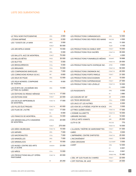| LE TROU NOIR PHOTOGRAPHIE                         | ORG          | 2 000   |
|---------------------------------------------------|--------------|---------|
| L'ÉCRAN IMPRIMÉ                                   | ORG          | 6000    |
| LES 7 DOIGTS DE LA MAIN                           | <b>ARES</b>  | 3 000   |
|                                                   | <b>FONCT</b> | 50 000  |
| <b>LES ARCHIPELS DANSE</b>                        | AIR          | 15 000  |
|                                                   | ORG          | 5 000   |
| LES BALLETS JAZZ DE MONTREAL                      | <b>FONCT</b> | 75 000  |
| LES BELLES BÊTES                                  | PASS         | 30 000  |
| <b>LES BLETTES</b>                                | COLL         | 5 000   |
| LES BRASILEIRINHOS                                | COLL         | 5 000   |
| <b>LES BRIGANDS</b>                               | COLL         | 10 000  |
| LES COMPAGNONS BAROQUES                           | ORG          | 7 000   |
| LES CORNICHONS ROYAUX S.E.N.C.                    | AIR          | 6800    |
| LES DEUX DE PIQUE                                 | ORG          | 12 000  |
| LES DEUX MONDES, COMPAGNIE<br>DE THÉÂTRE          | ORG          | 9 000   |
| LES ÉCRITS DE L'ACADÉMIE DES<br>LETTRES DU QUÉBEC | ORG          | 13 000  |
| LES ÉDITIONS DU REMUE-MÉNAGE                      | FONCT-B      | 17 000  |
| LES ÉDITIONS ESSE                                 | <b>FONCT</b> | 22 000  |
| <b>LES ESCALES IMPROBABLES</b><br>DE MONTRÉAL     | FONCT-B      | 17 000  |
| LES FILLES ÉLECTRIQUES                            | FONCT-B      | 43 000  |
| LES FILMS DE L'AUTRE                              | <b>FONCT</b> | 17 000  |
|                                                   | PS           | 6 000   |
| LES FRANCOS DE MONTRÉAL                           | ORG          | 14 000  |
| LES GRANDS BALLETS CANADIENS<br>DE MONTRÉAL       | <b>APROG</b> | 20 000  |
|                                                   | <b>FONCT</b> | 275 000 |
| LES IDÉES HEUREUSES                               | FONCT-B      | 15 000  |
| <b>LES IMPAIRS</b>                                | ORG          | 7 000   |
| <b>LES MACRONAUTES</b>                            | COLL         | 7 000   |
| <b>LES MAMIZELLES</b>                             | ORG          | 7 000   |
| <b>LES MINIMALICES</b>                            | AIR          | 15 000  |
| LES MUSES: CENTRE DES ARTS<br>DE LA SCÈNE         | SASESH       | 23 050  |
| LES NIÑOS                                         | COLL         | 13 000  |
| LES PRODUCTIONS BALLET OPÉRA<br><b>PANTOMIME</b>  | FONCT-B      | 20 000  |
|                                                   | PF           | 20 250  |

|                                         |               | \$      |
|-----------------------------------------|---------------|---------|
| LES PRODUCTIONS CARMAGNOLES             | ORG           | 12 000  |
| LES PRODUCTIONS DES PIEDS DES MAINS     | <b>FACCES</b> | 4 500   |
|                                         | ORG           | 11 000  |
|                                         | <b>TOUR</b>   | 4 100   |
| LES PRODUCTIONS DU DIABLE VERT          | <b>FONCT</b>  | 15 000  |
| LES PRODUCTIONS FEUX SACRÉS             | FONCT-B       | 35 000  |
|                                         | PF            | 4 000   |
| LES PRODUCTIONS FUNAMBULES MÉDIAS       | <b>DEMART</b> | 18 666  |
|                                         | FONCT-B       | 20 000  |
| LES PRODUCTIONS NUITS D'AFRIQUE INC.    | <b>APRIX</b>  | 8 600   |
|                                         | FONCT-B       | 50 000  |
| LES PRODUCTIONS ONDINNOK INC.           | FONCT-B       | 40 000  |
| LES PRODUCTIONS PORTE PAROLE            | <b>FONCT</b>  | 31 000  |
| LES PRODUCTIONS SOUCOUGNAN              | AIR           | 15 000  |
| LES PRODUCTIONS SUPERMUSIQUE            | <b>FONCT</b>  | 27 000  |
| LES PRODUCTIONS YVES LÉVEILLÉ           | FONCT-B       | 10 000  |
|                                         | PS            | 3 0 0 0 |
| <b>LES RUGISSANTS</b>                   | <b>ORG</b>    | 8 0 0 0 |
|                                         | PF            | 3880    |
| LES SOEURS KIF-KIF                      | AIR           | 2 605   |
| <b>LES TROIS BRODEUSES</b>              | COLL          | 8 900   |
| LES UN.E.S ET LES AUTRES                | <b>COLL</b>   | 6 000   |
| LES VOIX DE LA POÉSIE   POETRY IN VOICE | ORG           | 5 000   |
| LETTRES QUÉBÉCOISES                     | FONCT-B       | 17 000  |
| L'HOMME ALLUMETTE                       | FONCT-B       | 10 000  |
| <b>LIBRAIRIE RACINES</b>                | GP            | 10 000  |
| L'IDYLLE ARTS VIVANTS                   | <b>ARR</b>    | 25 000  |
| LILITH & CIE                            | <b>FACCES</b> | 770     |
|                                         | FONCT-B       | 10 000  |
| L'ILLUSION, THÉÂTRE DE MARIONNETTES     | <b>FONCT</b>  | 41 000  |
| LIMBO                                   | COLL          | 9 000   |
| L'IMPRIMERIE, CENTRE D'ARTISTES         | FONCT-B       | 25 000  |
| <b>L'INCONVÉNIENT</b>                   | <b>FONCT</b>  | 12 000  |
| LINDA GRUSSANI                          | CULTIVART     | 5 000   |
| <b>LIVART</b>                           | ORG           | 12 000  |
|                                         | PF            | 6 001   |
|                                         | RESI-AA       | 9 941   |
|                                         | STAGE-PHIL    | 15 480  |
| L'ŒIL VIF (LES FILMS DU 3 MARS)         | <b>FONCT</b>  | 22 000  |
| L'OFF FESTIVAL DE JAZZ                  | <b>FONCT</b>  | 24 000  |
|                                         |               |         |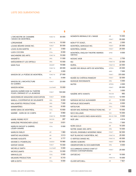| I                            |  |
|------------------------------|--|
|                              |  |
| ×<br>٠<br>$\mathcal{L}$<br>٩ |  |

| <b>L'ORCHESTRE DE CHAMBRE</b><br>I MUSICI DE MONTRÉAL         | FONCT-B          | 30 000  |
|---------------------------------------------------------------|------------------|---------|
| LORGANISME                                                    | FONCT-B          | 15 000  |
| LOUISE BÉDARD DANSE INC.                                      | <b>FONCT</b>     | 30 000  |
| <b>LOUIS-ELYAN MARTIN</b>                                     | <b>AIR</b>       | 3 900   |
| LUIZA COCORA                                                  | COLL             | 8000    |
| <b>MACHINERIE DES ARTS</b>                                    | FONCT-B          | 15 000  |
| MAGNÉTO                                                       | ORG              | 11 000  |
| MAI(G)WENN ET LES ORTEILS                                     | <b>ORG</b>       | 10 000  |
| <b>MAIN FILM</b>                                              | <b>DEMART</b>    | 18 666  |
|                                                               | FONCT-B          | 28 000  |
|                                                               | GP               | 3 000   |
| MAISON DE LA POÉSIE DE MONTRÉAL                               | FONCT-B          | 27 000  |
|                                                               | PS               | 5 000   |
| <b>MAISON DE L'ARCHITECTURE</b><br>DU QUÉBEC                  | <b>FONCT</b>     | 23 000  |
| MAISON MONA                                                   | <b>CULTIVART</b> | 15 000  |
| MAISON QUÉBÉCOISE DU THÉÂTRE<br>POUR L'ENFANCE ET LA JEUNESSE | <b>FONCT</b>     | 135 000 |
| MAISONNEUVE MAGAZINE ASSOCIATION                              | <b>FONCT</b>     | 9000    |
| MAKILA, COOPÉRATIVE DE SOLIDARITÉ                             | ORG              | 9000    |
| MALASARTES PRODUCTIONS                                        | <b>ORG</b>       | 7 000   |
| MAMMIFÉRES                                                    | <b>ORG</b>       | 8 000   |
| MARDI GRAS DE MONTRÉAL                                        | COLL             | 10800   |
| MARIBÉ - SORS DE CE CORPS                                     | AIR              | 9860    |
|                                                               | FONCT-B          | 10 000  |
| MARIE-PIERRE PETIT                                            | <b>FACCES</b>    | 287     |
| MARILÉNE PROVENCHER-LEDUC                                     | <b>TOUR</b>      | 5831    |
| MARILYN DAOUST & GABRIEL<br>LÉGER-SAVARD                      | COLL             | 5 000   |
| <b>MARILYN FARLEY</b>                                         | AIR              | 1960    |
| <b>MARTHE HALVORSEN</b>                                       | AIR              | 3513    |
| <b>MAXIME AUGUSTE</b>                                         | AIR              | 3 777   |
| <b>MAXIME D.-POMERLEAU</b>                                    | SASESH           | 19 980  |
| <b>MAYDAY DANSE</b>                                           | <b>FONCT</b>     | 15 000  |
| <b>MICHELLE SMITH</b>                                         | <b>CULTIVART</b> | 5 000   |
| <b>MICROCLIMATS</b>                                           | COLL             | 12 000  |
| MIKHA.ELLES                                                   | COLL             | 5 000   |
| <b>MILMURS PRODUCTION</b>                                     | AIR              | 6310    |

| MOMENTA BIENNALE DE L'IMAGE                         | AIR           | 15 000  |
|-----------------------------------------------------|---------------|---------|
|                                                     | <b>FONCT</b>  | 55 000  |
| MON P'TIT DOIGT                                     | <b>ORG</b>    | 2 000   |
| MONTRÉAL BAROQUE INC.                               | <b>FONCT</b>  | 25 000  |
| MONTRÉAL DANSE                                      | <b>FONCT</b>  | 25 000  |
| MONTREAL ENGLISH THEATRE AWARDS<br>(METAS)          | <b>APRIX</b>  | 8 000   |
| MOSAIC MOB                                          | COLL          | 2700    |
| MU                                                  | FONCT-B       | 22 000  |
| MURAL                                               | FONCT-B       | 22 000  |
| MUSÉE DES BEAUX-ARTS DE MONTRÉAL                    | <b>APROG</b>  | 20 000  |
|                                                     | <b>ARES</b>   | 7 000   |
|                                                     | <b>FONCT</b>  | 370 000 |
| MUSÉE DU CHÂTEAU RAMEZAY                            | <b>FONCT</b>  | 32 000  |
| MUSIQUE RAYONNANTE                                  | <b>ORG</b>    | 5 000   |
| <b>MUTEK</b>                                        | <b>APROG</b>  | 4 000   |
|                                                     | <b>FONCT</b>  | 65 000  |
|                                                     | PS            | 3 000   |
| NADÉRE ARTS VIVANTS                                 | <b>FACCES</b> | 682     |
|                                                     | FONCT-B       | 12 000  |
| NATASHA NICOLE ALEXANDER                            | GP            | 10 000  |
| NATHALIE DESCHAMPS                                  | COLL          | 8 000   |
| NATSUYUKI                                           | COLL          | 5 500   |
| NEVER WAS AVERAGE PRODUCTIONS INC.                  | GP            | 10 000  |
| NICO WILLIAMS                                       | SAA           | 15 000  |
| NO MAS CLAVOS (INES ADAN MOZO)                      | RESI-DC-TNPA  | 8 000   |
| NOÉ LIRA                                            | AIR           | 4 914   |
|                                                     | COLL          | 7 500   |
| <b>NORA GOLIC</b>                                   | AIR           | 10 200  |
| NOTRE-DAME-DES-ARTS                                 | <b>ORG</b>    | 10 000  |
| NOUVEL ENSEMBLE MODERNE (NEM)                       | <b>FONCT</b>  | 92 000  |
| NUIT BLANCHE À MONTRÉAL INC.                        | FONCT-B       | 25 000  |
| O VERTIGO DANSE INC.                                | FONCT-B       | 45 000  |
| OBORO GOBORO                                        | <b>FONCT</b>  | 62 000  |
| OBSERVATOIRE DU DOCUMENTAIRE                        | <b>ORG</b>    | 8 000   |
| OCCURRENCE ESPACE D'ART ET<br>D'ESSAI CONTEMPORAINS | <b>FONCT</b>  | 25 000  |
| <b>OKTOÉCHO</b>                                     | AIR           | 15 000  |
|                                                     | FONCT-B       | 15 000  |
| <b>OLIVER MITCHELL</b>                              | AIR           | 7821    |

COLL

9 0 0 0

MIRI & EDITH

\$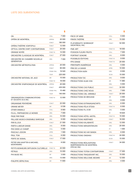| ΟN                                                 | COLL         | 7 000   |
|----------------------------------------------------|--------------|---------|
| OPÉRA DE MONTRÉAL                                  | <b>APROG</b> | 20 000  |
|                                                    | <b>FONCT</b> | 180 000 |
| OPÉRA/THÉÂTRE VOXPOPULI                            | <b>FONCT</b> | 12 000  |
| OPTICA, CENTRE D'ART CONTEMPORAIN                  | <b>FONCT</b> | 25 000  |
| ORANGE NOYÉE                                       | FONCT-B      | 14 000  |
| ORCHESTRE CLASSIQUE DE MONTRÉAL                    | <b>FONCT</b> | 27 000  |
| ORCHESTRE DE CHAMBRE NOUVELLE<br><b>GÉNÉRATION</b> | ORG          | 7 000   |
| ORCHESTRE MÉTROPOLITAIN                            | <b>APROG</b> | 20 000  |
|                                                    | <b>FONCT</b> | 95 000  |
|                                                    | STAGE-PHIL   | 19 520  |
|                                                    | <b>TOUR</b>  | 225 000 |
| ORCHESTRE NATIONAL DE JAZZ                         | AIR          | 15 000  |
|                                                    | FONCT-B      | 18 000  |
| ORCHESTRE SYMPHONIQUE DE MONTRÉAL                  | <b>APROG</b> | 20 000  |
|                                                    | <b>FONCT</b> | 435 000 |
|                                                    | STAGE-PHIL   | 15480   |
|                                                    | <b>TOUR</b>  | 140 000 |
| ORGANISATION COMMUNICATIONS<br>ET SOCIÉTÉ OCS INC. | FONCT-B      | 12 000  |
| ORGANISME PENTAÉDRE                                | <b>FONCT</b> | 22 000  |
| ORIANE MEYER                                       | AIR          | 6 536   |
| OTHER ANIMALS                                      | COLL         | 8900    |
| P.A.A.L. PARTAGEONS LE MONDE                       | ORG          | 7 000   |
| <b>PAGE PAR PAGE</b>                               | <b>ORG</b>   | 10 000  |
| PALLADE MUSICA ENSEMBLE BAROQUE                    | ORG          | 8 000   |
| PAR B.L.EUX                                        | <b>FONCT</b> | 21 500  |
| PARTS+LABOUR DANSE                                 | <b>ORG</b>   | 8 0 0 0 |
| PAS DANS LE CHAMP                                  | COLL         | 5 000   |
| PASCALE JODOIN                                     | <b>APRIX</b> | 1 500   |
| PAUL TOM                                           | COLL         | 6 000   |
| PERTE DE SIGNAL                                    | <b>FONCT</b> | 17 000  |
| PETER VAN HAAFTEN & MICHAEL<br>MONTANARO           | COLL         | 8 000   |
| PETITS BONHEURS DIFFUSION CULTURELLE               | FONCT-B      | 22 000  |
| <b>PÉTRUS</b>                                      | <b>ORG</b>   | 10 000  |
| PHI MUSE INC.                                      | GP           | 3 0 0 0 |
|                                                    | ORG          | 13 000  |
| PHILIPPE DÉPELTEAU                                 | AIR          | 11 600  |
|                                                    |              |         |

| PIECE OF MIND                                                              | COLL         | 5 000   |
|----------------------------------------------------------------------------|--------------|---------|
| PIRATA THÉÂTRE                                                             | <b>ORG</b>   | 15 000  |
| PLAYWRIGHTS' WORKSHOP<br>(MONTREAL) INC.                                   | <b>FONCT</b> | 52 000  |
| <b>PME-ART</b>                                                             | FONCT-B      | 18 000  |
| POISSON FLEURS FRUITS                                                      | <b>COLL</b>  | 7 000   |
| PORTRAIT SONORE                                                            | <b>ORG</b>   | 8 0 0 0 |
| POSSIBLES ÉDITIONS                                                         | FONCT-B      | 9 000   |
| <b>PPS DANSE</b>                                                           | FONCT-B      | 20 000  |
| PRINTEMPS NUMÉRIQUE                                                        | <b>ORG</b>   | 5 000   |
| PRIX DE LA DANSE                                                           | <b>APRIX</b> | 10 000  |
| PRODUCTION AUEN                                                            | <b>ORG</b>   | 8 000   |
|                                                                            | <b>SCOA</b>  | 15 000  |
| <b>PRODUCTION T2C</b>                                                      | <b>ORG</b>   | 9 000   |
| PRODUCTIONS ALMA VIVA                                                      | AIR          | 11 680  |
|                                                                            | <b>ORG</b>   | 5 000   |
| PRODUCTIONS CAS PUBLIC                                                     | <b>FONCT</b> | 32 000  |
| PRODUCTIONS CHEZ NOUS                                                      | <b>ORG</b>   | 7 000   |
| PRODUCTIONS CIEL VARIABLE                                                  | <b>FONCT</b> | 20 000  |
| PRODUCTIONS DE BROUSSE                                                     | AIR          | 4 465   |
|                                                                            | <b>ORG</b>   | 9000    |
| PRODUCTIONS EXTRAVAGANZ'ARTS                                               | <b>ORG</b>   | 6000    |
| PRODUCTIONS FÉLIX STUSSI                                                   | FONCT-B      | 6 000   |
| PRODUCTIONS FIL D'OR                                                       | <b>ORG</b>   | 5 000   |
|                                                                            | PF           | 19 625  |
| PRODUCTIONS HÔTEL-MOTEL                                                    | FONCT-B      | 15 000  |
| PRODUCTIONS INDÉFINIES                                                     | <b>FONCT</b> | 16 000  |
| PRODUCTIONS KALABANTÉ                                                      | <b>ORG</b>   | 12 000  |
| PRODUCTIONS MENUENTAKUAN                                                   | ORG          | 20 000  |
|                                                                            | PF           | 1 000   |
| PRODUCTIONS NO HAY BANDA                                                   | <b>ORG</b>   | 6 000   |
| PRODUCTIONS ONISHKA                                                        | FONCT-B      | 24 000  |
|                                                                            | <b>SCOA</b>  | 15 000  |
| PRODUCTIONS RÉALISATIONS<br>INDÉPENDANTES DE MONTRÉAL<br>$(P.R.I.M.)$ INC. | <b>FONCT</b> | 34 000  |
| PRODUCTIONS TOTEM CONTEMPORAIN                                             | <b>FONCT</b> | 17 000  |
| PRODUCTIONS TRAQUEN'ART INC.                                               | <b>ORG</b>   | 15 000  |
|                                                                            | AIR          | 12 000  |
| PRODUCTIONS WELCOME ABOARD                                                 |              |         |

ORG 4 000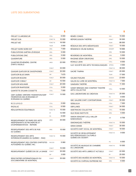| <b>PROJET CLAIROBSCUR</b>                                                                     | COLL          | 6000    |
|-----------------------------------------------------------------------------------------------|---------------|---------|
| <b>PROJET EVA</b>                                                                             | FONCT-B       | 10 000  |
| PROJET MÛ                                                                                     | FONCT-B       | 16 000  |
|                                                                                               | <b>TOUR</b>   | 3 000   |
| PROJET NORD NORD EST                                                                          | <b>ORG</b>    | 7 0 0 0 |
| PUBLICATIONS GAËTAN LÉVESQUE                                                                  | ORG           | 5 000   |
| PUBLICATIONS ZINC                                                                             | ORG           | 5 000   |
| QUADRATURE                                                                                    | <b>ORG</b>    | 5 000   |
| QUARTIER ÉPHÉMÈRE, CENTRE<br><b>D'ARTS VISUELS</b>                                            | <b>ARES</b>   | 22 000  |
|                                                                                               | <b>FONCT</b>  | 33 000  |
| <b>QUASAR QUATUOR DE SAXOPHONES</b>                                                           | <b>FONCT</b>  | 30 000  |
| QUATUOR BLUE DAWN                                                                             | AIR           | 7675    |
| QUATUOR BOZZINI                                                                               | <b>FONCT</b>  | 30 000  |
| QUATUOR COBALT                                                                                | AIR           | 10 554  |
| QUATUOR MOLINARI                                                                              | <b>FONCT</b>  | 20 000  |
| <b>OUATUOR RHAPSODIE</b>                                                                      | COLL          | 5 0 0 0 |
| QUINTETTE SYLVAIN COSSETTE                                                                    | <b>COLL</b>   | 7 000   |
| OWF QUÉBEC WRITERS' FEDERATION/OWF<br>FÉDÉRATION DES ÉCRIVAINES ET<br>ÉCRIVAINS DU QUÉBEC     | <b>FONCT</b>  | 13 500  |
| RESURGO                                                                                       | COLL          | 5 000   |
| RAZALAZ                                                                                       | COLL          | 6 500   |
| RÉALISATRICES ÉQUITABLES                                                                      | FONCT-B       | 15 000  |
|                                                                                               | PF            | 12 000  |
|                                                                                               | PS            | 6 000   |
| REGROUPEMENT DE PAIRS DES ARTS<br>INDÉPENDANTS DE RECHERCHE ET<br>D'EXPÉRIMENTATION - REPAIRE | <b>ARES</b>   | 35 000  |
| REGROUPEMENT DES ARTS DE RUE<br>DU OUÉBEC                                                     | <b>ORG</b>    | 15 000  |
| REGROUPEMENT DES ARTS<br>INTERDISCIPLINAIRES DU OUÉBEC - RAIO                                 | FONCT-B       | 15 000  |
| REGROUPEMENT DES CENTRES D'ARTISTES<br>AUTOGÉRÉS DU OUÉBEC INC.                               | <b>FACCES</b> | 5 060   |
|                                                                                               |               |         |
|                                                                                               | <b>FONCT</b>  | 10 000  |
| REGROUPEMENT QUÉBÉCOIS DE LA DANSE                                                            | <b>FONCT</b>  | 35 000  |
|                                                                                               | GP            | 3 000   |

| RENÉE CONDO                                                                       | SAA           | 15 000 |
|-----------------------------------------------------------------------------------|---------------|--------|
| RÉPERCUSSION THÉÂTRE                                                              | <b>FONCT</b>  | 30 000 |
|                                                                                   | <b>TOUR</b>   | 88 000 |
| RÉSEAUX DES ARTS MÉDIATIQUES                                                      | <b>FONCT</b>  | 15 000 |
| RÉSIDENCE CÉLINE BUREAU                                                           | <b>DEMART</b> | 18 666 |
|                                                                                   | <b>ORG</b>    | 10 000 |
| REVERDIES DE MONTRÉAL                                                             | <b>ORG</b>    | 5 000  |
| RHODNIE DÉSIR CREATIONS                                                           | <b>ORG</b>    | 10 000 |
| RONALD JEAN                                                                       | COLL          | 8 000  |
| S.A.T. SOCIÉTÉ DES ARTS TECHNOLOGIQUES                                            | <b>APROG</b>  | 4 000  |
|                                                                                   | FONCT-B       | 38 000 |
| SACRÉ TYMPAN                                                                      | <b>FONCT</b>  | 20 000 |
|                                                                                   | <b>TOUR</b>   | 17 000 |
| SALIMA PUNJANI                                                                    | SASESH        | 23 600 |
| SALON DU LIVRE DE MONTREAL                                                        | FONCT-B       | 7 000  |
| SAMSARA THÉÂTRE                                                                   | <b>ORG</b>    | 11 000 |
| SANDY BRIDGES AND COMPANY THEATRE<br>ARTS COLLECTIVE                              | <b>COLL</b>   | 12 000 |
| SAS LABORATOIRE DE CRÉATION                                                       | FONCT-B       | 25 000 |
|                                                                                   | PS            | 8 000  |
| SBC GALERIE D'ART CONTEMPORAIN                                                    | <b>FONCT</b>  | 35 000 |
| SEB&JULIA                                                                         | COLL          | 7 000  |
| SIBYLLINES                                                                        | <b>FONCT</b>  | 34 000 |
| SIDETRACKS COLLECTIVE                                                             | COLL          | 15 000 |
| SILK ROAD INSTITUTE                                                               | <b>ORG</b>    | 5 000  |
| SIMON DENIZART & ELLI MILLER<br>MABOUNGOU                                         | AIR           | 8 706  |
| SIMONIAOUES THÉÂTRE                                                               | FONCT-B       | 10 000 |
| <b>SINHA DANSE</b>                                                                | <b>FONCT</b>  | 30 000 |
| SOCIÉTÉ D'ART VOCAL DE MONTRÉAL                                                   | <b>FONCT</b>  | 18 000 |
| SOCIÉTÉ DE DÉVELOPPEMENT<br>DES PÉRIODIQUES CULTURELS<br><b>OUÉBÉCOIS (SODEP)</b> | FONCT-B       | 9 000  |
|                                                                                   | PS            | 6 000  |
| SOCIÉTÉ DE MUSIQUE DE CHAMBRE<br><b>DU LAKESHORE</b>                              | FONCT-B       | 10 000 |
| SOCIÉTÉ DES ARTS LIBRES ET ACTUELS                                                | <b>FONCT</b>  | 22 000 |
|                                                                                   | PF            | 25 000 |
| SOCIÉTÉ DES MUSÉES DE MONTRÉAL                                                    | FONCT-B       | 10 000 |
| SOCIÉTÉ DU CHÂTEAU DUFRESNE INC                                                   | <b>ORG</b>    | 6 000  |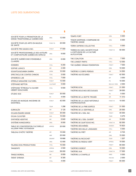| SOCIÉTÉ POUR LA PROMOTION DE LA<br>DANSE TRADITIONNELLE QUÉBÉCOISE       | ORG              | 12 000  |
|--------------------------------------------------------------------------|------------------|---------|
| SOCIÉTÉ POUR LES ARTS EN MILIEUX<br>DE SANTÉ                             | FONCT-B          | 20 000  |
| SOCIÉTÉ PRO MUSICA INC.                                                  | <b>FONCT</b>     | 17 000  |
| SOCIÉTÉ PROFESSIONNELLE DES AUTEURS<br>ET COMPOSITEURS QUÉBÉCOIS (SPACQ) | ORG              | 9 000   |
| SOCIÉTÉ QUÉBÉCOISE D'ENSEMBLE-<br><b>CLAVIERS</b>                        | ORG              | 6 000   |
| SOMMES                                                                   | COLL             | 9 200   |
| SOPHIE LUKACS                                                            | AIR              | 2 400   |
| SOUNTOUGOUMBA DIARRA                                                     | <b>APRIX</b>     | 10 000  |
| SPECTACLE DE CONTES CHINOIS                                              | COLL             | 5 000   |
| SPHERE(S) LAB                                                            | COLL             | 7 000   |
| SPIRALE MAGAZINE CULTUREL                                                | <b>FONCT</b>     | 13 000  |
| STÉPHANE NEPTON                                                          | <b>CULTIVART</b> | 5 000   |
| STÉPHANE TÉTREAULT & OLIVIER<br>HÉBERT-BOUCHARD                          | COLL             | 9 000   |
| STUDIO 303                                                               | <b>FONCT</b>     | 30 000  |
|                                                                          | PS               | 4 000   |
| STUDIO DE MUSIQUE ANCIENNE DE<br>MONTRÉAL                                | <b>FONCT</b>     | 42 000  |
|                                                                          | <b>TOUR</b>      | 1 2 9 6 |
| SURKALÉN                                                                 | AIR              | 3 1 2 5 |
| SYLVAIN ÉMARD DANSE                                                      | <b>FONCT</b>     | 35 000  |
| <b>SYLVIA CLOUTIER</b>                                                   | SAA              | 15 000  |
| SYNTHÈSE ADDITIVE                                                        | AIR              | 6 840   |
| SYSTÉME KANGOUROU                                                        | ORG              | 8 000   |
| TABLE DE CONCERTATION CULTURELLE<br><b>VILLERAY PARC-EXTENSION</b>       | <b>APROG</b>     | 20 000  |
| TABLEAU D'HÔTE THÉÂTRE                                                   | AIR              | 15 000  |
|                                                                          | ARR              | 25 000  |
|                                                                          | DEMART           | 18 666  |
|                                                                          | ORG              | 12 000  |
| TALKING DOG PRODUCTIONS                                                  | COLL             | 15 000  |
| TANGENTE                                                                 | APROG            | 2 500   |
|                                                                          | <b>FONCT</b>     | 58 000  |
| TANGO BOREAL                                                             | AIR              | 8 959   |
| TARAF SYRIANA                                                            | AIR              | 8 305   |
|                                                                          | COLL             | 4 000   |

| TEMPS FORT                                                               | <b>ORG</b>    | 5 0 0 0 |
|--------------------------------------------------------------------------|---------------|---------|
| TENON MORTAISE, COMPAGNIE DE<br>THÉÂTRE-DANSE                            | <b>ORG</b>    | 6 000   |
| <b>TERRA SAPIENS COLLECTIVE</b>                                          | COLL          | 5 000   |
| TERRES EN VUES, SOCIÉTÉ POUR<br>LA DIFFUSION DE LA CULTURE<br>AUTOCHTONE | FONCT-B       | 50 000  |
| THE COALITION                                                            | COLL          | 7 000   |
| THE LOWEST PARTS                                                         | <b>COLL</b>   | 12 000  |
| THE QUÉBEC DRAMA FEDERATION                                              | <b>FONCT</b>  | 7 000   |
|                                                                          | <b>ORG</b>    | 10 000  |
| THÉÂTRE À CORPS PERDUS                                                   | AIR           | 14 500  |
| THÉÂTRE AUX ÉCURIES                                                      | <b>FONCT</b>  | 42 500  |
|                                                                          | GP            | 3 000   |
|                                                                          | PS            | 10 000  |
|                                                                          | RESI-DC-TNPA  | 2 000   |
| THÉÂTRE B.T.W.                                                           | <b>FONCT</b>  | 31 000  |
| THÉÂTRE BOUCHES DÉCOUSUES                                                | <b>FONCT</b>  | 39 000  |
|                                                                          | PS            | 5 000   |
| THÉÂTRE DE LA BOTTE TROUÉE                                               | AIR           | 11 410  |
| THÉÄTRE DE LA LIGUE NATIONALE<br><b>D'IMPROVISATION</b>                  | FONCT-B       | 10 000  |
| THÉÂTRE DE LA PIRE ESPÈCE                                                | <b>FONCT</b>  | 31 000  |
| THÉÂTRE DE LA SENTINELLE                                                 | <b>ORG</b>    | 20 000  |
| THEATRE DE L'OEIL INC.                                                   | <b>FONCT</b>  | 40 000  |
|                                                                          | <b>TOUR</b>   | 5 275   |
| THÉÂTRE DE L'OEIL OUVERT                                                 | AIR           | 15 000  |
| THÉÂTRE DE QUAT'SOUS INC.                                                | FONCT-B       | 92 000  |
| THÉÂTRE DÉCHAÎNÉS                                                        | SASESH        | 15 923  |
| THÉÂTRE DES MILLE LANGAGES                                               | COLL          | 5 000   |
| THÉÂTRE DU FRÈT                                                          | AIR           | 9725    |
|                                                                          | ORG           | 15 000  |
| THÉÂTRE DU RICOCHET                                                      | <b>TOUR</b>   | 1 207   |
| THÉÂTRE DU RIDEAU VERT                                                   | <b>APROG</b>  | 15 000  |
|                                                                          | <b>FONCT</b>  | 85 000  |
| THÉÂTRE EVEREST                                                          | <b>ORG</b>    | 10 000  |
| THÉÂTRE I.N.K.                                                           | FONCT-B       | 17 000  |
| THÉÂTRE LA CHAPELLE                                                      | <b>ARES</b>   | 5 0 0 0 |
|                                                                          | <b>FACCES</b> | 2 000   |
|                                                                          | <b>FONCT</b>  | 65 000  |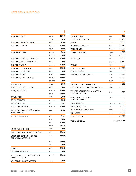| THÉÄTRE LE CLOU                                          | <b>FONCT</b>  | 45 000  |
|----------------------------------------------------------|---------------|---------|
|                                                          | <b>TOUR</b>   | 3490    |
| THEATRE LYRICHOREGRA 20                                  | <b>ORG</b>    | 4 500   |
| THÉÂTRE MAGASIN                                          | FONCT-B       | 10 000  |
|                                                          | <b>TOUR</b>   | 1 506   |
| THÉÂTRE MAINLINE                                         | <b>FACCES</b> | 2 000   |
|                                                          | FONCT-B       | 20 000  |
| THÉÂTRE SCAPEGOAT CARNIVALE                              | FONCT-B       | 10 000  |
| THÉÄTRE SURREAL SOREAL INC.                              | ORG           | 9000    |
| THÉÂTRE TALISMAN                                         | FONCT-B       | 15 000  |
| THÉÂTRE TEESRI DUNIYA                                    | ORG           | 10 000  |
| THÉÂTRE TOUT À TRAC                                      | <b>ORG</b>    | 8 0 0 0 |
| THÉÂTRE UBU INC.                                         | <b>FONCT</b>  | 63 000  |
| THÉÂTRE YOUTHEATRE INC.                                  | <b>DEMART</b> | 18 666  |
|                                                          | FONCT-B       | 22 000  |
| <b>THIERRY HUARD</b>                                     | COLL          | 5 0 0 0 |
| TOUTTE EST DANS TOUTTE                                   | ORG           | 7 000   |
| <b>TOXIQUE TROTTOIR</b>                                  | FONCT-B       | 18 000  |
|                                                          | PASS          | 28 900  |
| <b>TRAJECTOIRES</b>                                      | COLL          | 6 000   |
| <b>TRIO FIBONACCI</b>                                    | FONCT-B       | 9 000   |
| <b>TRIO POPULAIRE</b>                                    | AIR           | 5 237   |
| <b>TROIS TRISTES TIGRES</b>                              | FONCT-B       | 15 000  |
| TROISIÈME ESPACE THÉÂTRE/THIRD<br>SPACE THEATRE          | COLL          | 4 500   |
| <b>TROUPE IMAGICARIO</b>                                 | AIR           | 7 1 5 4 |
|                                                          | MIA           | 3500    |
|                                                          | <b>ORG</b>    | 10 000  |
|                                                          | PASS          | 27410   |
| UN ET UN FONT MILLE                                      | ORG           | 9 000   |
| UNE AUTRE COMPAGNIE DE THÉÂTRE                           | AIR           | 15 000  |
| UNION DES ÉCRIVAINES ET DES<br>ÉCRIVAINS QUÉBÉCOIS       | <b>ARES</b>   | 11 800  |
|                                                          | <b>FONCT</b>  | 28 000  |
|                                                          | GP            | 3 0 0 0 |
| USINE C                                                  | <b>FONCT</b>  | 96 000  |
| VALERIAN MAZATAUD                                        | AIR           | 5 600   |
| <b>VALLUM SOCIETY FOR EDUCATION</b><br>IN ARTS & LETTERS | FONCT-B       | 10 000  |
| VAN GRIMDE CORPS SECRETS                                 | <b>FONCT</b>  | 25 000  |

| VÄTCHIK DANSE                                             | COLL          |
|-----------------------------------------------------------|---------------|
| VEILS OF BOLLYWOOD                                        | AIR           |
| VIALES                                                    | COLL          |
| VICTORIA MACKENZIE                                        | <b>AIR</b>    |
| VIDÉO PHASE                                               | FONCT-B       |
| <b>VIDÉOGRAPHE INC.</b>                                   | <b>FACCES</b> |
|                                                           | <b>FONCT</b>  |
| <b>VIE DES ARTS</b>                                       | FONCT-B       |
|                                                           | RESI-EC-AA    |
| VIRILES                                                   | COLL          |
| VISION DIVERSITÉ                                          | FONCT-B       |
| <b>VISIONS CINÉMA</b>                                     | <b>ORG</b>    |
| VISIONS SUR L'ART QUÉBEC                                  | <b>DEMART</b> |
|                                                           | <b>ORG</b>    |
|                                                           | SASESH        |
| VIVA! ART ACTION MONTRÉAL                                 | FONCT-B       |
| VOIES CULTURELLES DES FAUBOURGS                           | <b>APROG</b>  |
| VOIR DES VOIX MONTREAL / SEEING<br><b>VOICES MONTREAL</b> | <b>ORG</b>    |
| VOX, CENTRE DE L'IMAGE<br><b>CONTEMPORAINE</b>            | <b>FONCT</b>  |
| <b>VUES D'AFRIQUE</b>                                     | FONCT-B       |
| VUES SUR SCÈNES                                           | ORG           |
| <b>WORLD CREATION STUDIOS</b>                             | <b>APROG</b>  |
| <b>XN QUEBEC</b>                                          | <b>APRIX</b>  |
| YIDLIFE CRISIS                                            | <b>ARR</b>    |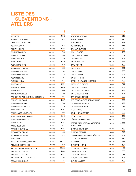## **LISTE DES SUBVENTIONS -ATELIERS**

\$

| 10E NORD                      | <b>ATELIERS</b> | 4612    |
|-------------------------------|-----------------|---------|
| 7146680 CANADA INC.           | <b>ATELIERS</b> | 819     |
| 9135-5776 QUEBEC INC.         | <b>ATELIERS</b> | 133     |
| ADAM BASANTA                  | <b>ATELIERS</b> | 678     |
| <b>ADRIAN NORVID</b>          | <b>ATELIERS</b> | 1 1 8 3 |
| AGATHE BODINEAU               | <b>ATELIERS</b> | 708     |
| ALAIN BOUCHARD                | <b>ATELIERS</b> | 204     |
| ALAIN MAILHOT                 | <b>ATELIERS</b> | 294     |
| <b>ALAIN PIROIR</b>           | <b>ATELIERS</b> | 1 179   |
| ALEXANDRE DAVID               | <b>ATELIERS</b> | 940     |
| ALEXANDRE PARENT              | <b>ATELIERS</b> | 639     |
| ALEXIA MCKINDSEY              | <b>ATELIERS</b> | 82      |
| <b>ALEXIS EMELIANOFF</b>      | <b>ATELIERS</b> | 225     |
| <b>ALEXIS LEPAGE</b>          | <b>ATELIERS</b> | 297     |
| ALEXIS O'HARA                 | <b>ATELIERS</b> | 874     |
| <b>ALICE JARRY</b>            | <b>ATELIERS</b> | 2 634   |
| ALTHEA MAMARIL                | <b>ATELIERS</b> | 1098    |
| ANDRÉ PITRE                   | <b>ATELIERS</b> | 440     |
| ANDREA MACKEAN                | <b>ATELIERS</b> | 299     |
| ANDREANNE ABBONDANZA-BERGERON | <b>ATELIERS</b> | 661     |
| ANDRÉANNE GODIN               | <b>ATELIERS</b> | 1 097   |
| ANDRES MANNISTE               | <b>ATELIERS</b> | 706     |
| ANDREZEJ-ANDRE PIJET          | <b>ATELIERS</b> | 210     |
| <b>ANNE LAPIERRE</b>          | <b>ATELIERS</b> | 1 397   |
| ANNE-LAURE DJABALLAH          | <b>ATELIERS</b> | 305     |
| ANNE-MARIE GAGNON INC.        | <b>ATELIERS</b> | 6518    |
| <b>ANNE-MARIE OUELLET</b>     | <b>ATELIERS</b> | 310     |
| ANNIE 50 INC.                 | <b>ATELIERS</b> | 1 192   |
| <b>ANNIE RODRIGUE</b>         | <b>ATELIERS</b> | 513     |
| <b>ANTHONY BURNHAM</b>        | <b>ATELIERS</b> | 1 1 8 7 |
| ANTONIETTA GRASSI             | <b>ATELIERS</b> | 499     |
| ANTONIO SERAFINO              | <b>ATELIERS</b> | 512     |
| <b>ARIEL TARR</b>             | <b>ATELIERS</b> | 233     |
| ART ET DESIGN MOSAÏKA INC.    | ATELIERS        | 17 223  |
| ATELIER COCOTTE INC.          | <b>ATELIERS</b> | 310     |
| ATELIER HABITATION MONTRÉAL   | <b>ATELIERS</b> | 30 000  |
| ATELIER LA COULÉE             | <b>ATELIERS</b> | 1 369   |
| ATELIER L'ÉTABLI INC.         | <b>ATELIERS</b> | 1992    |
| ATELIER NATHALIE GARCEAU      | <b>ATELIERS</b> | 398     |
| <b>BENJAMIN LAFAILLE</b>      | <b>ATELIERS</b> | 754     |

|                                                      |                 | \$    |
|------------------------------------------------------|-----------------|-------|
| <b>BENOIT LE VERGOS</b>                              | <b>ATELIERS</b> | 1818  |
| BEVERLY FARLEY                                       | ATELIERS        | 143   |
| <b>BOM DESIGN</b>                                    | <b>ATELIERS</b> | 1 232 |
| <b>BORIS CHASIN</b>                                  | <b>ATELIERS</b> | 378   |
| CAMILLA CLARIZIO                                     | ATELIERS        | 843   |
| CAMILLE CÔTÉ                                         | <b>ATELIERS</b> | 166   |
| <b>CAMILLE OUELLETTE</b>                             | ATELIERS        | 354   |
| <b>CARINA ROSE</b>                                   | <b>ATELIERS</b> | 157   |
| <b>CARINE KHALIFE</b>                                | ATELIERS        | 1 388 |
| <b>CARL TRAHAN</b>                                   | ATELIERS        | 188   |
| <b>CAROL MOSE</b>                                    | <b>ATELIERS</b> | 1551  |
| <b>CAROLE ARBIC</b>                                  | ATELIERS        | 253   |
| <b>CAROLE FRÉVE</b>                                  | <b>ATELIERS</b> | 604   |
| <b>CAROLE MORIN</b>                                  | ATELIERS        | 307   |
| CAROLINE ARIANE BERGERON                             | ATELIERS        | 703   |
| <b>CAROLINE CLOUTIER</b>                             | <b>ATELIERS</b> | 799   |
| CAROLYNE SCENNA                                      | ATELIERS        | 2 237 |
| CATHERINE ABOUMRAD                                   | <b>ATELIERS</b> | 233   |
| CATHERINE BÉCHARD                                    | ATELIERS        | 611   |
| CATHERINE BODMER                                     | ATELIERS        | 1 032 |
| CATHERINE CATHERINE BOISVENUE                        | <b>ATELIERS</b> | 533   |
| CATHERINE CHAGNON                                    | ATELIERS        | 1 122 |
| CATHERINE GAUMERD                                    | <b>ATELIERS</b> | 394   |
| <b>CECILE RONC</b>                                   | ATELIERS        | 204   |
| <b>CELINE HUYGHEBAERT</b>                            | ATELIERS        | 395   |
| CÉLINE OZOUF                                         | <b>ATELIERS</b> | 143   |
| CERAMIQUES ISHIZUKA                                  | <b>ATELIERS</b> | 832   |
| <b>CERCLE D'EXPRESSION ARTISTIOUE</b><br>NYATA NYATA | <b>ATELIERS</b> | 2 000 |
| CHANTAL BÉLANGER                                     | <b>ATELIERS</b> | 159   |
| <b>CHANTAL PARISIEN</b>                              | <b>ATELIERS</b> | 849   |
| CHARLES-ANTOINE BLAIS MÉTIVIER                       | ATELIERS        | 1 201 |
| CHLOĖ DESJARDINS                                     | <b>ATELIERS</b> | 195   |
| <b>CHRIS KLINE</b>                                   | ATELIERS        | 436   |
| CHRISTIAN KIOPINI                                    | ATELIERS        | 1 127 |
| <b>CHRISTINE LEBLANC</b>                             | <b>ATELIERS</b> | 99    |
| <b>CHRISTINE MAJOR</b>                               | ATELIERS        | 350   |
| <b>CLAIRE DUFRESNE</b>                               | <b>ATELIERS</b> | 512   |
| <b>CLAUDE BOUCHARD</b>                               | ATELIERS        | 708   |
| <b>CLAUDE MAURER</b>                                 | ATELIERS        | 496   |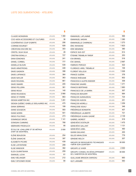| <b>CLAUDE MONGRAIN</b>                                | <b>ATELIERS</b> | 1 390   |
|-------------------------------------------------------|-----------------|---------|
| COO-MON ACCESSOIRES ET CULTURES                       | <b>ATELIERS</b> | 36      |
| COOPÉRATIVE COUP D'GRIFFE                             | <b>ATELIERS</b> | 206     |
| <b>CORINNE BOURGET</b>                                | <b>ATELIERS</b> | 928     |
| CRÉATIONS ENCORE INC.                                 | <b>ATELIERS</b> | 303     |
| CRISTEL SILVA SILVA                                   | <b>ATELIERS</b> | 28      |
| CRISTINA BONILLA                                      | <b>ATELIERS</b> | 727     |
| DANA EDMONDS                                          | <b>ATELIERS</b> | 241     |
| <b>DANIEL CORBEIL</b>                                 | <b>ATELIERS</b> | 777     |
| DANIELLE BLOUIN                                       | <b>ATELIERS</b> | 539     |
| DAVID ARMSTRONG                                       | <b>ATELIERS</b> | 448     |
| DAVID GAGNON                                          | <b>ATELIERS</b> | 398     |
| <b>DAVID LAFRANCE</b>                                 | <b>ATELIERS</b> | 364     |
| DAVID NAYLOR                                          | <b>ATELIERS</b> | 363     |
| <b>DAVID ROUSSEL</b>                                  | <b>ATELIERS</b> | 861     |
| <b>DAVID SIMARD</b>                                   | <b>ATELIERS</b> | 205     |
| <b>DENIS PELLERIN</b>                                 | <b>ATELIERS</b> | 361     |
| <b>DENIS RIOUX</b>                                    | <b>ATELIERS</b> | 140     |
| <b>DENIS ROUSSEAU</b>                                 | <b>ATELIERS</b> | 2990    |
| <b>DENIS ST-PIERRE</b>                                | <b>ATELIERS</b> | 863     |
| <b>DESIGN M3BÉTON INC.</b>                            | <b>ATELIERS</b> | 1 2 9 1 |
| DESIGN QUÉBEC ISABELLE DESLAURIES INC.                | <b>ATELIERS</b> | 475     |
| DIANA SERRANO                                         | <b>ATELIERS</b> | 199     |
| <b>DIANE GOUGEON</b>                                  | <b>ATELIERS</b> | 583     |
| DIANE MORIN                                           | <b>ATELIERS</b> | 501     |
| DIEGO PULITANO                                        | <b>ATELIERS</b> | 273     |
| DOMINIQUE SIROIS                                      | <b>ATELIERS</b> | 1 141   |
| DONIGAN CUMMING                                       | <b>ATELIERS</b> | 768     |
| EBERHARD FROEHLICH                                    | <b>ATELIERS</b> | 85      |
| ÉCOLE DE JOAILLERIE ET DE MÉTAUX<br>D'ART DE MONTRÉAL | <b>ATELIERS</b> | 2 000   |
| ELÈNE BEAUDOIN                                        | <b>ATELIERS</b> | 254     |
| ÉLÉNE GAMACHE                                         | <b>ATELIERS</b> | 397     |
| ELISABETH PICARD                                      | <b>ATELIERS</b> | 439     |
| ELISE LAFONTAINE                                      | <b>ATELIERS</b> | 299     |
| <b>ELISE WINDSOR</b>                                  | <b>ATELIERS</b> | 382     |
| ELIZA OLKINITSKAYA                                    | <b>ATELIERS</b> | 259     |
| <b>EMANUEL LICHA</b>                                  | <b>ATELIERS</b> | 61      |
| EMILY BÉLANGER                                        | <b>ATELIERS</b> | 212     |
| <b>EMILY SPOONER-RODIE</b>                            | <b>ATELIERS</b> | 80      |

|                                                                       |                 | \$      |
|-----------------------------------------------------------------------|-----------------|---------|
| EMMANUEL LAFLAMME                                                     | <b>ATELIERS</b> | 566     |
| EMMANUEL MADAN                                                        | <b>ATELIERS</b> | 1 380   |
| EMMANUELLE CHARNEAU                                                   | <b>ATELIERS</b> | 1 273   |
| ERIC RAYMOND                                                          | <b>ATELIERS</b> | 1823    |
| ERIK NIEMINEM                                                         | <b>ATELIERS</b> | 380     |
| ESPACE SUD-EST                                                        | <b>ATELIERS</b> | 614     |
| ÉTIENNE TREMBLAY-TARDIF                                               | <b>ATELIERS</b> | 253     |
| EVA BRANDL                                                            | <b>ATELIERS</b> | 516     |
| eve Gravel                                                            | <b>ATELIERS</b> | 2997    |
| FABRIZIO PEROZZI                                                      | <b>ATELIERS</b> | 422     |
| FLORENCE-ARIEL TREMBLAY                                               | <b>ATELIERS</b> | 106     |
| FLORENT VEILLEUX                                                      | <b>ATELIERS</b> | 1026    |
| FRANCE GUÉRIN                                                         | <b>ATELIERS</b> | 378     |
| FRANCE RHÉAUME                                                        | <b>ATELIERS</b> | 602     |
| FRANCESCA ALEPIN KNEIDER                                              | <b>ATELIERS</b> | 309     |
| FRANCINE SAVARD                                                       | <b>ATELIERS</b> | 1 371   |
| FRANCIS BERTRAND                                                      | <b>ATELIERS</b> | 1983    |
| FRANCISCO DE LA BARRA                                                 | <b>ATELIERS</b> | 307     |
| <b>FRANCOIS BEAUDRY</b>                                               | <b>ATELIERS</b> | 684     |
| FRANÇOIS GUINAUDEAU                                                   | <b>ATELIERS</b> | 724     |
| <b>FRANÇOIS HUDON</b>                                                 | <b>ATELIERS</b> | 251     |
| <b>FRANÇOIS MORELLI</b>                                               | <b>ATELIERS</b> | 1 259   |
| FRANÇOISE ISSALY                                                      | <b>ATELIERS</b> | 346     |
| FRÉDÉRIQUE BONMATIN                                                   | <b>ATELIERS</b> | 407     |
| FRÉDÉRIQUE LALIBERTÉ                                                  | <b>ATELIERS</b> | 721     |
| FRÉDÉRIQUE ULMAN-GAGNÉ                                                | <b>ATELIERS</b> | 2 1 3 9 |
| <b>GABRIEL MOREST</b>                                                 | <b>ATELIERS</b> | 918     |
| GENEVIÈVE DOSTALER                                                    | <b>ATELIERS</b> | 1475    |
| GENEVIÈVE GALLANT                                                     | <b>ATELIERS</b> | 1 131   |
| GENEVIÈVE LEBEL                                                       | <b>ATELIERS</b> | 460     |
| GIANNI GIULIANO                                                       | <b>ATELIERS</b> | 200     |
| GILLES MIHALCEAN                                                      | <b>ATELIERS</b> | 779     |
| GRAEME WELCH                                                          | <b>ATELIERS</b> | 207     |
| GROUPE DE RESSOURCES TECHNIQUES<br>«BÄTIR SON QUARTIER»               | <b>ATELIERS</b> | 30 000  |
| groupe le vivier                                                      | <b>ATELIERS</b> | 2 000   |
| <b>GROUPE-CONSEIL EN DÉVELOPPEMENT</b><br>DE L'HABITATION DE MONTRÉAL | <b>ATELIERS</b> | 30 000  |
| GUILLAUME BRISSON-DARVEAU                                             | <b>ATELIERS</b> | 683     |
| <b>GUY LARAMÉE</b>                                                    | <b>ATELIERS</b> | 583     |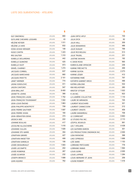| <b>GUY SIMONEAU</b>        | <b>ATELIERS</b> | 680     |
|----------------------------|-----------------|---------|
| GUYLAINE CHEVARIE-LESSARD  | <b>ATELIERS</b> | 43      |
| HÉLÈNE KEYSER              | <b>ATELIERS</b> | 1511    |
| HÉLÈNE LA HAYE             | <b>ATELIERS</b> | 832     |
| <b>HODA ACKAD WENGER</b>   | <b>ATELIERS</b> | 148     |
| <b>HUGO CANTIN</b>         | <b>ATELIERS</b> | 1 2 2 3 |
| <b>IRIS SAUTIER</b>        | <b>ATELIERS</b> | 1 3 1 0 |
| <b>ISABELLE DESJARDINS</b> | <b>ATELIERS</b> | 442     |
| <b>ISABELLE GUIMOND</b>    | <b>ATELIERS</b> | 425     |
| <b>ISABELLE HUOT</b>       | <b>ATELIERS</b> | 973     |
| <b>ISRAËL CHARNEY</b>      | <b>ATELIERS</b> | 1 2 7 4 |
| JACQUES CORBEIL            | <b>ATELIERS</b> | 637     |
| JACQUES MARCHAND           | <b>ATELIERS</b> | 660     |
| JACQUES PAYETTE            | <b>ATELIERS</b> | 2 101   |
| JANET WERNER               | <b>ATELIERS</b> | 774     |
| JASNA SOKOLOVIC            | <b>ATELIERS</b> | 611     |
| JASON CANTORO              | <b>ATELIERS</b> | 547     |
| JEAN BRILLANT              | <b>ATELIERS</b> | 8400    |
| JEANETTE JOHNS             | <b>ATELIERS</b> | 366     |
| JEAN-FRANÇOIS LAUDA        | <b>ATELIERS</b> | 1752    |
| JEAN-FRANÇOIS TOUSIGNANT   | <b>ATELIERS</b> | 1 502   |
| JEAN-LOUIS ÉMOND           | <b>ATELIERS</b> | 1863    |
| JEAN-PHILIPPE MONTPETIT    | <b>ATELIERS</b> | 708     |
| JEAN-PIERRE GAUTHIER       | <b>ATELIERS</b> | 1 697   |
| JEAN-PIERRE VIVIAN         | <b>ATELIERS</b> | 184     |
| JEAN-SÉBASTIEN DENIS       | <b>ATELIERS</b> | 374     |
| JESSICA WEE                | <b>ATELIERS</b> | 222     |
| JOANNIE BOULAIS            | <b>ATELIERS</b> | 417     |
| JOCELYNE ALLOUCHERIE       | <b>ATELIERS</b> | 1416    |
| JOHANNE CULLEN             | <b>ATELIERS</b> | 1826    |
| JOHANNE STE-MARIE          | <b>ATELIERS</b> | 354     |
| JONATHAN GIRARD            | <b>ATELIERS</b> | 427     |
| JONATHAN INKSETTER         | <b>ATELIERS</b> | 499     |
| <b>JONATHAN SARDELIS</b>   | <b>ATELIERS</b> | 106     |
| JOSÉE DESSUREAULT          | <b>ATELIERS</b> | 1 693   |
| JOSÉE LECOMPTE             | <b>ATELIERS</b> | 202     |
| JOSÉE ROBERGE              | <b>ATELIERS</b> | 267     |
| <b>JOSÉE SCHRYER</b>       | <b>ATELIERS</b> | 232     |
| JOSEPH BRANCO              | <b>ATELIERS</b> | 1688    |
| JUAN AQUINO                | <b>ATELIERS</b> | 762     |

| JUAN ORTIZ-APUY               | <b>ATELIERS</b> | 749     |
|-------------------------------|-----------------|---------|
| JULIA DYCK                    | <b>ATELIERS</b> | 62      |
| JULIA HALL                    | <b>ATELIERS</b> | 309     |
| <b>JULIE DESMARAIS</b>        | <b>ATELIERS</b> | 486     |
| JULIE DUGUAY                  | <b>ATELIERS</b> | 799     |
| JULIE ROCHELEAU               | <b>ATELIERS</b> | 513     |
| JULIE TRUDEL                  | <b>ATELIERS</b> | 231     |
| JUSTINE SKAHAN                | <b>ATELIERS</b> | 192     |
| K. DAVID ROSS                 | <b>ATELIERS</b> | 565     |
| KAREN ELAINE SPENCER          | <b>ATELIERS</b> | 236     |
| KARINE FRÉCHETTE              | <b>ATELIERS</b> | 499     |
| KARINE GUYON                  | <b>ATELIERS</b> | 2 273   |
| KARINE LÉGER                  | <b>ATELIERS</b> | 412     |
| KATHERINE PARÉ                | <b>ATELIERS</b> | 797     |
| KATHRYN GABINET-KROO          | <b>ATELIERS</b> | 496     |
| <b>KATRIN LEBLOND</b>         | <b>ATELIERS</b> | 532     |
| KIM KIELHOFNER                | <b>ATELIERS</b> | 280     |
| <b>KRISTOF STYGAR</b>         | <b>ATELIERS</b> | 1 0 2 2 |
| K-UN INC.                     | <b>ATELIERS</b> | 622     |
| LA LUMIERE COLLECTIVE         | <b>ATELIERS</b> | 1 1 1 0 |
| LAURE DE MIRAMON              | <b>ATELIERS</b> | 745     |
| <b>LAURENT BOUCHARD</b>       | <b>ATELIERS</b> | 321     |
| LAURENT CANNICCIONI           | <b>ATELIERS</b> | 212     |
| LAURENT CRASTE                | <b>ATELIERS</b> | 459     |
| LAURIE DANSEREAU              | <b>ATELIERS</b> | 708     |
| LE CORRID'ART                 | <b>ATELIERS</b> | 5 663   |
| LE STUDIO P.M. INC.           | <b>ATELIERS</b> | 2 113   |
| LEOPOL BOURJOI                | <b>ATELIERS</b> | 991     |
| <b>LES 7 ATELIERS</b>         | <b>ATELIERS</b> | 4 438   |
| <b>LES GUITARES BARON</b>     | <b>ATELIERS</b> | 301     |
| LES PRODUCTIONS ONDINNOK INC. | <b>ATELIERS</b> | 2 000   |
| LIDIA RAYMOND                 | ATELIERS        | 398     |
| LINO CIPRESSO                 | <b>ATELIERS</b> | 1688    |
| LOÏC BARD                     | <b>ATELIERS</b> | 1 153   |
| <b>LORRAINE PRITCHARD</b>     | <b>ATELIERS</b> | 778     |
| <b>LORRAINE SIMMS</b>         | <b>ATELIERS</b> | 1 5 6 4 |
| <b>LOUIS GORD</b>             | <b>ATELIERS</b> | 2 000   |
| <b>LOUIS LAPRISE</b>          | <b>ATELIERS</b> | 1 284   |
| LOUIS-BERNARD ST-JEAN         | <b>ATELIERS</b> | 258     |
| LOUISE ROBERT                 | <b>ATELIERS</b> | 1416    |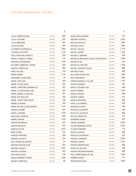| <b>LOUIS-PIERRE BOUGIE</b>   | <b>ATELIERS</b> | 895     |
|------------------------------|-----------------|---------|
| LUCIE CHICOINE               | <b>ATELIERS</b> | 637     |
| LUCIE GRÉGOIRE               | <b>ATELIERS</b> | 367     |
| <b>LUCIE ROCHER</b>          | <b>ATELIERS</b> | 454     |
| LUTHERIE DE BORDEAUX         | <b>ATELIERS</b> | 1855    |
| LYSANNE LATULIPPE            | <b>ATELIERS</b> | 1 1 2 3 |
| LYSE CHARLAND FAVRETTI       | <b>ATELIERS</b> | 530     |
| MAGALI THIBAULT-GOBEIL       | <b>ATELIERS</b> | 212     |
| MAHMOUD BAGHAEIAN            | <b>ATELIERS</b> | 1759    |
| MAJORIE LABRÈQUE-LEPAGE      | <b>ATELIERS</b> | 303     |
| MANON LABRECQUE              | <b>ATELIERS</b> | 862     |
| <b>MARC DULUDE</b>           | <b>ATELIERS</b> | 219     |
| MARIA KARIMI                 | <b>ATELIERS</b> | 1 115   |
| MARIANNE CHARLEBOIS          | <b>ATELIERS</b> | 62      |
| MARIE LETELLIER              | <b>ATELIERS</b> | 425     |
| MARIE-CHLOÉ DUVAL            | <b>ATELIERS</b> | 544     |
| MARIE-CHRISTINE QUENNEVILLE  | <b>ATELIERS</b> | 387     |
| MARIE-CLAUDE ROBILLARD       | <b>ATELIERS</b> | 283     |
| MARIE-DANIELLE LEBLANC       | <b>ATELIERS</b> | 531     |
| MARIE-EVE BEAULIEU           | <b>ATELIERS</b> | 433     |
| <b>MARIE-JOSÉE FRANCOEUR</b> | <b>ATELIERS</b> | 159     |
| MARIELLE RIVARD              | <b>ATELIERS</b> | 350     |
| MARIE-MICHELLE DESCHAMPS     | <b>ATELIERS</b> | 1 147   |
| MARILOU ANDRÉ                | <b>ATELIERS</b> | 937     |
| MARIO LAMARRE                | <b>ATELIERS</b> | 1070    |
| MARJORIE GUINDON             | <b>ATELIERS</b> | 809     |
| <b>MARKO SAVARD</b>          | <b>ATELIERS</b> | 1552    |
| <b>MARTIN BOURDEAU</b>       | <b>ATELIERS</b> | 637     |
| MARTIN DÉSILETS              | <b>ATELIERS</b> | 914     |
| <b>MARTIN SCHOP</b>          | <b>ATELIERS</b> | 2 243   |
| MARY WONG                    | <b>ATELIERS</b> | 373     |
| MARYSE FRAPPIER              | ATELIERS        | 268     |
| <b>MARYSE LACOSTE</b>        | <b>ATELIERS</b> | 210     |
| MAT JANSON-BLANCHET          | <b>ATELIERS</b> | 61      |
| MATHIEU BEAUSÉJOUR           | <b>ATELIERS</b> | 342     |
| <b>MATHIEU GAUDET</b>        | <b>ATELIERS</b> | 3 327   |
| <b>MATHIEU LACROIX</b>       | <b>ATELIERS</b> | 633     |
| <b>MATTHEW SHANE</b>         | <b>ATELIERS</b> | 728     |
| <b>MAUDE BERNIER CHABOT</b>  | <b>ATELIERS</b> | 1 2 9 5 |
| MAUDE CORRIVEAU              | <b>ATELIERS</b> | 82      |

| MAUDE DESLAURIERS                   | <b>ATELIERS</b>  | 712   |
|-------------------------------------|------------------|-------|
| MÉGANE VOGHELL                      | <b>ATELIERS</b>  | 2 524 |
| MÉLISSA BOLDUC                      | <b>ATFI IFRS</b> | 1863  |
| <b>MICHAEL SMITH</b>                | <b>ATELIERS</b>  | 1484  |
| MICHEL GOULET                       | <b>ATELIERS</b>  | 2 170 |
| <b>MICHEL HARVEY</b>                | <b>ATELIERS</b>  | 1416  |
| MICHÉLE F. BÉRARD                   | <b>ATELIERS</b>  | 438   |
| MICHELLE BEAUDOIN OBJETS DECORATIFS | <b>ATELIERS</b>  | 1699  |
| MICHELLE BUI                        | <b>ATELIERS</b>  | 120   |
| <b>MICHELLE FURLONG</b>             | <b>ATELIERS</b>  | 1048  |
| MICHEL-THOMAS POULIN                | <b>ATELIERS</b>  | 898   |
| MIE KIM STUDIO                      | <b>ATELIERS</b>  | 995   |
| MILJOURS STUDIO INC.                | <b>ATELIERS</b>  | 929   |
| MILO REINHARDT                      | <b>ATELIERS</b>  | 984   |
| NADINE NADINE EL HAJJAR             | <b>ATELIERS</b>  | 1 187 |
| <b>NANCIE MUNGER</b>                | <b>ATELIERS</b>  | 433   |
| NANCY COUSINS VIAU                  | <b>ATELIERS</b>  | 409   |
| NANCY MINNER                        | <b>ATFI IFRS</b> | 1 200 |
| NAOMI LONDON                        | <b>ATELIERS</b>  | 496   |
| <b>NAOMIE CARON</b>                 | <b>ATELIERS</b>  | 515   |
| NATALIA BAQUERO                     | <b>ATELIERS</b>  | 466   |
| NATALJA SCERBINA                    | <b>ATELIERS</b>  | 264   |
| <b>NATHALIE COINTE</b>              | <b>ATELIERS</b>  | 186   |
| NICHOLAS VOEIKOFF                   | <b>ATELIERS</b>  | 454   |
| NICOLAS LACHANCE                    | <b>ATELIERS</b>  | 609   |
| NICOLE PANNETON                     | <b>ATELIERS</b>  | 161   |
| NORMAND HAMEL                       | <b>ATELIERS</b>  | 907   |
| OBORO GOBORO                        | <b>ATELIERS</b>  | 2000  |
| OLIVER ESMONDE-WHITE                | <b>ATELIERS</b>  | 2522  |
| OLIVIER BONNARD                     | <b>ATELIERS</b>  | 115   |
| PASCAL DUFAUX                       | <b>ATELIERS</b>  | 664   |
| PASCALE FALARDEAU                   | ATELIERS         | 410   |
| PASCALE GIRARDIN                    | <b>ATELIERS</b>  | 2 058 |
| PATRICE CANTIN                      | <b>ATELIERS</b>  | 1814  |
| PATRICK BERNATCHEZ                  | <b>ATELIERS</b>  | 905   |
| PATRYCJA WALTON                     | <b>ATELIERS</b>  | 349   |
| PAVITRA WICKRAMASINGHE              | <b>ATELIERS</b>  | 366   |
| PELLI FERRONNIER ART INC            | <b>ATELIERS</b>  | 1 259 |
| PERRINE MAREZ                       | <b>ATELIERS</b>  | 171   |
| PETER KRAUSZ INC.                   | <b>ATELIERS</b>  | 1 663 |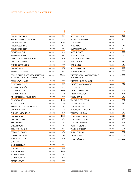### \$

| PHILIPPE BATTIKHA                                                    | <b>ATELIERS</b> | 354    |
|----------------------------------------------------------------------|-----------------|--------|
| PHILIPPE CHARLEBOIS GOMEZ                                            | <b>ATELIERS</b> | 915    |
| PHILIPPE COUDARI                                                     | <b>ATELIERS</b> | 1349   |
| PHILIPPE LÉONARD                                                     | <b>ATELIERS</b> | 673    |
| <b>PHILIPPE RICHELET</b>                                             | <b>ATELIERS</b> | 894    |
| PIERRE BRUNEAU                                                       | <b>ATELIERS</b> | 310    |
| PIERRE FOURNIER                                                      | <b>ATELIERS</b> | 682    |
| PRODUCTIONS SARRAVOX INC.                                            | <b>ATELIERS</b> | 654    |
| RAE MARIE TAYLOR                                                     | <b>ATELIERS</b> | 145    |
| RAFAEL SOTTOLICHIO                                                   | <b>ATELIERS</b> | 503    |
| RAPHAËL NÉRON                                                        | <b>ATELIERS</b> | 372    |
| RAQUEL SANCINETTI                                                    | <b>ATELIERS</b> | 391    |
| REGROUPEMENT DES ORGANISMES DU<br>MONTRÈAL ETHNIQUE POUR LE LOGEMENT | <b>ATELIERS</b> | 30 000 |
| RENÉE LAVAILLANTE                                                    | <b>ATELIERS</b> | 203    |
| RICARDO RUIZ RUZ                                                     | <b>ATELIERS</b> | 937    |
| RICHARD DESCHÊNES                                                    | <b>ATELIERS</b> | 312    |
| RICHARD MORIN                                                        | <b>ATELIERS</b> | 1 046  |
| RICHARD PONTAIS                                                      | <b>ATELIERS</b> | 379    |
| ROBERT KEENAN POLONCSAK                                              | <b>ATELIERS</b> | 360    |
| ROBERT SAUCIER                                                       | <b>ATELIERS</b> | 1 193  |
| ROLAND DUBUC                                                         | <b>ATELIERS</b> | 195    |
| SABINE LAMY DE LA CHAPELLE                                           | <b>ATELIERS</b> | 301    |
| SANDRA BOORNE                                                        | <b>ATELIERS</b> | 148    |
| SANDRA LAROCHELLE                                                    | <b>ATELIERS</b> | 273    |
| SANDRA SINGH                                                         | <b>ATELIERS</b> | 1989   |
| SARAH DELL'AVA                                                       | <b>ATELIERS</b> | 472    |
| SARAH GREIG                                                          | <b>ATELIERS</b> | 743    |
| SARAH ROONEY                                                         | <b>ATELIERS</b> | 798    |
| SÉBASTIEN CLICHE                                                     | <b>ATELIERS</b> | 651    |
| SÉBASTIEN WORSNIP                                                    | <b>ATELIERS</b> | 678    |
| SHELLEY FREEMAN                                                      | <b>ATELIERS</b> | 143    |
| <b>SHERRY WALCHUK</b>                                                | <b>ATELIERS</b> | 816    |
| SHIRLEY KATZ                                                         | <b>ATELIERS</b> | 311    |
| SIMON BELLEAU                                                        | ATELIERS        | 607    |
| SIMON GOULET                                                         | ATELIERS        | 388    |
| SIMON TRUDEAU                                                        | <b>ATELIERS</b> | 1593   |
| SOPHIE JODOIN                                                        | <b>ATELIERS</b> | 982    |
| SOPHIE JOUBARNE                                                      | <b>ATELIERS</b> | 678    |
| STACEY LEAVITT                                                       | ATELIERS        | 898    |

|                                                         |                  | ö       |
|---------------------------------------------------------|------------------|---------|
| STÉPHANE LA RUE                                         | <b>ATELIERS</b>  | 425     |
| STEPHEN SCHOFIELD                                       | <b>ATELIERS</b>  | 1 1 0 3 |
| STUDIO 303                                              | <b>ATELIERS</b>  | 2 000   |
| studio lux                                              | <b>ATELIERS</b>  | 912     |
| SUSANNE TANGUAY                                         | <b>ATELIERS</b>  | 432     |
| SUZANNE HATT                                            | <b>ATELIERS</b>  | 222     |
| SUZANNE JOOS                                            | <b>ATELIERS</b>  | 20      |
| SYLVAIN BOUTHILLETTE                                    | <b>ATELIERS</b>  | 888     |
| SYLVIE LUPIEN                                           | <b>ATELIERS</b>  | 310     |
| Sylvie Ross                                             | <b>ATELIERS</b>  | 219     |
| SYLVIE SANTERRE                                         | <b>ATELIERS</b>  | 265     |
| TAMARA RUBILAR                                          | <b>ATELIERS</b>  | 285     |
| THÉÂTRE DE LA LIGUE NATIONALE<br><b>D'IMPROVISATION</b> | <b>ATELIERS</b>  | 2000    |
| THÉRÉSE JOYCE-GAGNON                                    | <b>ATELIERS</b>  | 292     |
| THERESE MASTROIACOVO                                    | <b>ATELIERS</b>  | 743     |
| TIN YUM LAU                                             | <b>ATELIERS</b>  | 660     |
| TREVOR KIERNANDER                                       | <b>ATELIERS</b>  | 354     |
| TRICIA MIDDLETON                                        | <b>ATELIERS</b>  | 525     |
| <b>TRUDY CRANE</b>                                      | <b>ATFI IFRS</b> | 1 3 4 5 |
| VALÉRIE BLASS BEAUDIN                                   | <b>ATELIERS</b>  | 3 681   |
| VALÉRIE DELACROIX                                       | <b>ATELIERS</b>  | 740     |
| Véronique côté                                          | <b>ATELIERS</b>  | 850     |
| Véronique d'Aragon                                      | <b>ATELIERS</b>  | 80      |
| VICKIE VAINIONPAA                                       | <b>ATELIERS</b>  | 543     |
| <b>VINCENT LAFRANCE</b>                                 | <b>ATELIERS</b>  | 619     |
| VINCENT LAROUCHE                                        | <b>ATELIERS</b>  | 156     |
| VIOLAINE TÉTREAULT                                      | <b>ATELIERS</b>  | 861     |
| VIOLETTE DIONNE                                         | <b>ATELIERS</b>  | 1432    |
| VLADIMIR ZABEIDA                                        | <b>ATELIERS</b>  | 331     |
| YANN POCREAU                                            | <b>ATELIERS</b>  | 371     |
| ZAHRA BUALI                                             | <b>ATELIERS</b>  | 837     |
| TOTAL GÉNÉRAL                                           |                  | 453 272 |